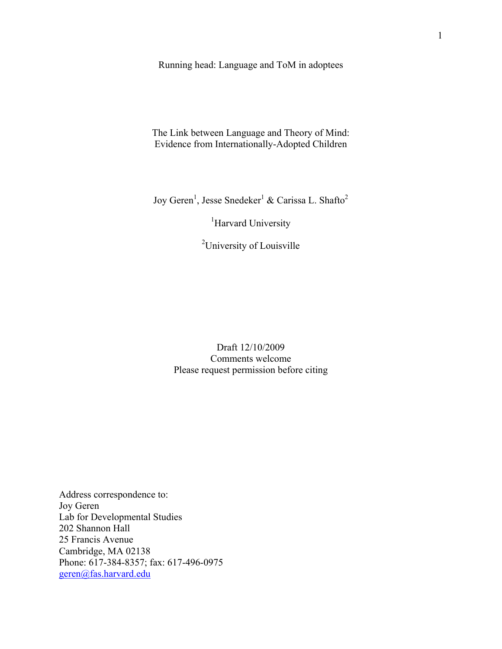Running head: Language and ToM in adoptees

The Link between Language and Theory of Mind: Evidence from Internationally-Adopted Children

Joy Geren<sup>1</sup>, Jesse Snedeker<sup>1</sup> & Carissa L. Shafto<sup>2</sup>

<sup>1</sup>Harvard University

<sup>2</sup>University of Louisville

Draft 12/10/2009 Comments welcome Please request permission before citing

Address correspondence to: Joy Geren Lab for Developmental Studies 202 Shannon Hall 25 Francis Avenue Cambridge, MA 02138 Phone: 617-384-8357; fax: 617-496-0975 geren@fas.harvard.edu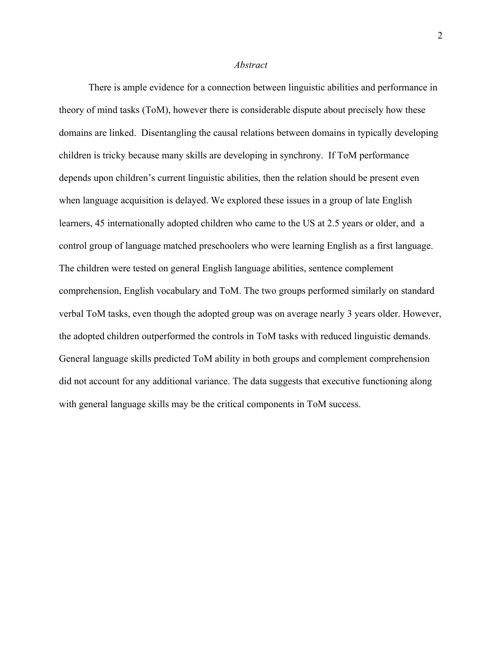#### *Abstract*

There is ample evidence for a connection between linguistic abilities and performance in theory of mind tasks (ToM), however there is considerable dispute about precisely how these domains are linked. Disentangling the causal relations between domains in typically developing children is tricky because many skills are developing in synchrony. If ToM performance depends upon children's current linguistic abilities, then the relation should be present even when language acquisition is delayed. We explored these issues in a group of late English learners, 45 internationally adopted children who came to the US at 2.5 years or older, and a control group of language matched preschoolers who were learning English as a first language. The children were tested on general English language abilities, sentence complement comprehension, English vocabulary and ToM. The two groups performed similarly on standard verbal ToM tasks, even though the adopted group was on average nearly 3 years older. However, the adopted children outperformed the controls in ToM tasks with reduced linguistic demands. General language skills predicted ToM ability in both groups and complement comprehension did not account for any additional variance. The data suggests that executive functioning along with general language skills may be the critical components in ToM success.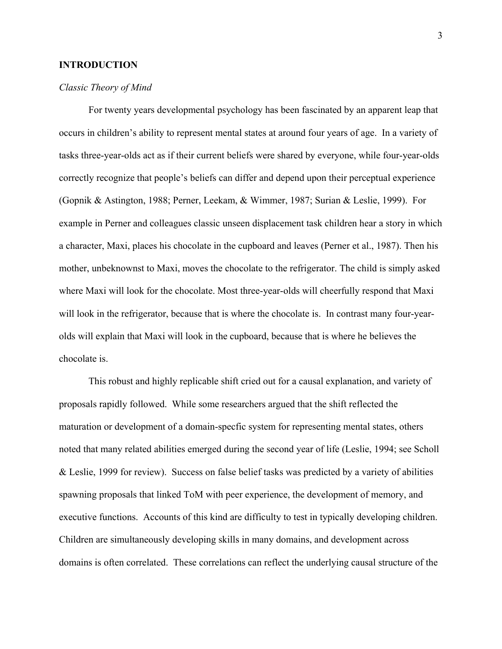# **INTRODUCTION**

# *Classic Theory of Mind*

For twenty years developmental psychology has been fascinated by an apparent leap that occurs in children's ability to represent mental states at around four years of age. In a variety of tasks three-year-olds act as if their current beliefs were shared by everyone, while four-year-olds correctly recognize that people's beliefs can differ and depend upon their perceptual experience (Gopnik & Astington, 1988; Perner, Leekam, & Wimmer, 1987; Surian & Leslie, 1999). For example in Perner and colleagues classic unseen displacement task children hear a story in which a character, Maxi, places his chocolate in the cupboard and leaves (Perner et al., 1987). Then his mother, unbeknownst to Maxi, moves the chocolate to the refrigerator. The child is simply asked where Maxi will look for the chocolate. Most three-year-olds will cheerfully respond that Maxi will look in the refrigerator, because that is where the chocolate is. In contrast many four-yearolds will explain that Maxi will look in the cupboard, because that is where he believes the chocolate is.

This robust and highly replicable shift cried out for a causal explanation, and variety of proposals rapidly followed. While some researchers argued that the shift reflected the maturation or development of a domain-specfic system for representing mental states, others noted that many related abilities emerged during the second year of life (Leslie, 1994; see Scholl & Leslie, 1999 for review). Success on false belief tasks was predicted by a variety of abilities spawning proposals that linked ToM with peer experience, the development of memory, and executive functions. Accounts of this kind are difficulty to test in typically developing children. Children are simultaneously developing skills in many domains, and development across domains is often correlated. These correlations can reflect the underlying causal structure of the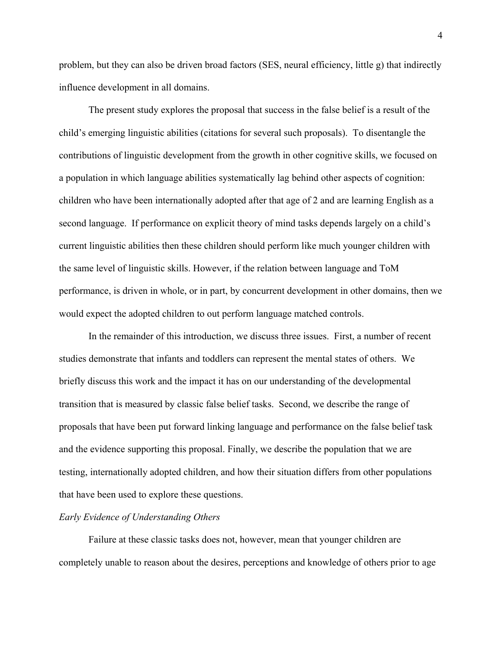problem, but they can also be driven broad factors (SES, neural efficiency, little g) that indirectly influence development in all domains.

The present study explores the proposal that success in the false belief is a result of the child's emerging linguistic abilities (citations for several such proposals). To disentangle the contributions of linguistic development from the growth in other cognitive skills, we focused on a population in which language abilities systematically lag behind other aspects of cognition: children who have been internationally adopted after that age of 2 and are learning English as a second language. If performance on explicit theory of mind tasks depends largely on a child's current linguistic abilities then these children should perform like much younger children with the same level of linguistic skills. However, if the relation between language and ToM performance, is driven in whole, or in part, by concurrent development in other domains, then we would expect the adopted children to out perform language matched controls.

In the remainder of this introduction, we discuss three issues. First, a number of recent studies demonstrate that infants and toddlers can represent the mental states of others. We briefly discuss this work and the impact it has on our understanding of the developmental transition that is measured by classic false belief tasks. Second, we describe the range of proposals that have been put forward linking language and performance on the false belief task and the evidence supporting this proposal. Finally, we describe the population that we are testing, internationally adopted children, and how their situation differs from other populations that have been used to explore these questions.

# *Early Evidence of Understanding Others*

Failure at these classic tasks does not, however, mean that younger children are completely unable to reason about the desires, perceptions and knowledge of others prior to age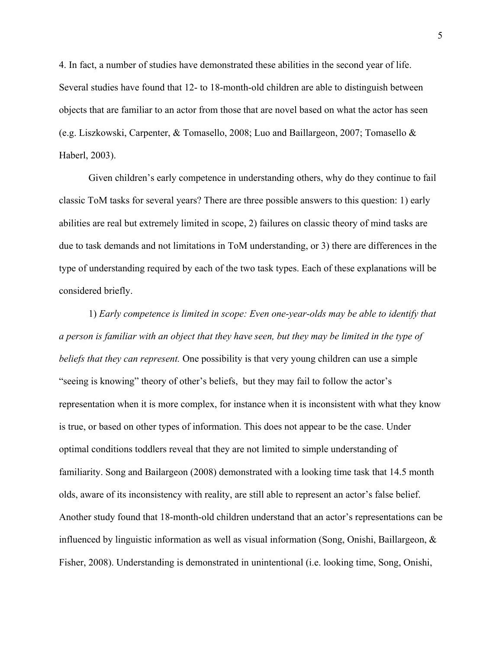4. In fact, a number of studies have demonstrated these abilities in the second year of life. Several studies have found that 12- to 18-month-old children are able to distinguish between objects that are familiar to an actor from those that are novel based on what the actor has seen (e.g. Liszkowski, Carpenter, & Tomasello, 2008; Luo and Baillargeon, 2007; Tomasello & Haberl, 2003).

Given children's early competence in understanding others, why do they continue to fail classic ToM tasks for several years? There are three possible answers to this question: 1) early abilities are real but extremely limited in scope, 2) failures on classic theory of mind tasks are due to task demands and not limitations in ToM understanding, or 3) there are differences in the type of understanding required by each of the two task types. Each of these explanations will be considered briefly.

1) *Early competence is limited in scope: Even one-year-olds may be able to identify that a person is familiar with an object that they have seen, but they may be limited in the type of beliefs that they can represent.* One possibility is that very young children can use a simple "seeing is knowing" theory of other's beliefs, but they may fail to follow the actor's representation when it is more complex, for instance when it is inconsistent with what they know is true, or based on other types of information. This does not appear to be the case. Under optimal conditions toddlers reveal that they are not limited to simple understanding of familiarity. Song and Bailargeon (2008) demonstrated with a looking time task that 14.5 month olds, aware of its inconsistency with reality, are still able to represent an actor's false belief. Another study found that 18-month-old children understand that an actor's representations can be influenced by linguistic information as well as visual information (Song, Onishi, Baillargeon, & Fisher, 2008). Understanding is demonstrated in unintentional (i.e. looking time, Song, Onishi,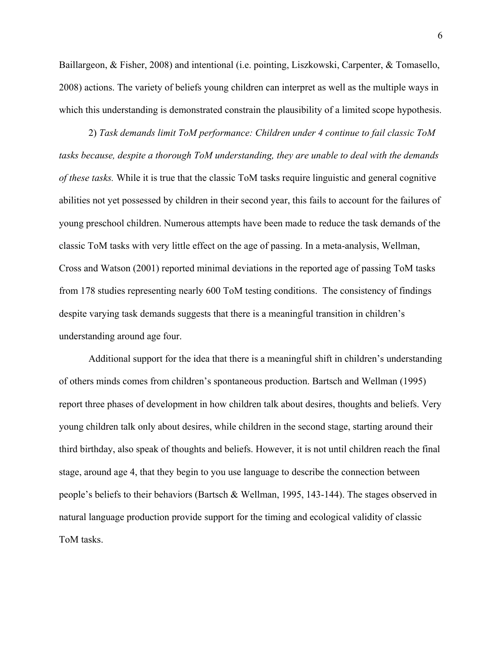Baillargeon, & Fisher, 2008) and intentional (i.e. pointing, Liszkowski, Carpenter, & Tomasello, 2008) actions. The variety of beliefs young children can interpret as well as the multiple ways in which this understanding is demonstrated constrain the plausibility of a limited scope hypothesis.

2) *Task demands limit ToM performance: Children under 4 continue to fail classic ToM tasks because, despite a thorough ToM understanding, they are unable to deal with the demands of these tasks.* While it is true that the classic ToM tasks require linguistic and general cognitive abilities not yet possessed by children in their second year, this fails to account for the failures of young preschool children. Numerous attempts have been made to reduce the task demands of the classic ToM tasks with very little effect on the age of passing. In a meta-analysis, Wellman, Cross and Watson (2001) reported minimal deviations in the reported age of passing ToM tasks from 178 studies representing nearly 600 ToM testing conditions. The consistency of findings despite varying task demands suggests that there is a meaningful transition in children's understanding around age four.

Additional support for the idea that there is a meaningful shift in children's understanding of others minds comes from children's spontaneous production. Bartsch and Wellman (1995) report three phases of development in how children talk about desires, thoughts and beliefs. Very young children talk only about desires, while children in the second stage, starting around their third birthday, also speak of thoughts and beliefs. However, it is not until children reach the final stage, around age 4, that they begin to you use language to describe the connection between people's beliefs to their behaviors (Bartsch & Wellman, 1995, 143-144). The stages observed in natural language production provide support for the timing and ecological validity of classic ToM tasks.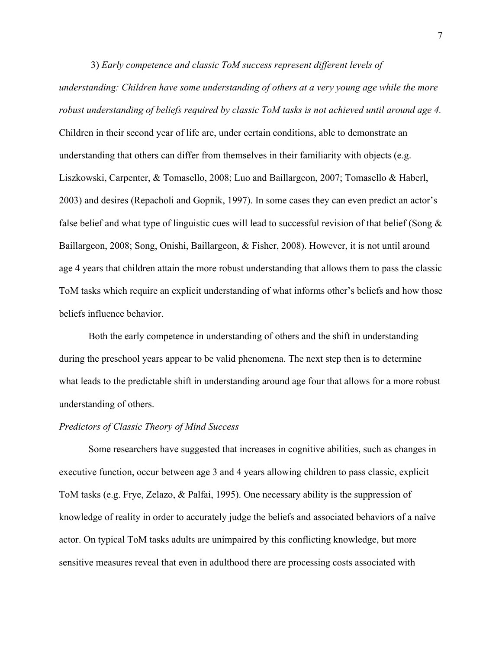3) *Early competence and classic ToM success represent different levels of understanding: Children have some understanding of others at a very young age while the more robust understanding of beliefs required by classic ToM tasks is not achieved until around age 4.*  Children in their second year of life are, under certain conditions, able to demonstrate an understanding that others can differ from themselves in their familiarity with objects (e.g. Liszkowski, Carpenter, & Tomasello, 2008; Luo and Baillargeon, 2007; Tomasello & Haberl, 2003) and desires (Repacholi and Gopnik, 1997). In some cases they can even predict an actor's false belief and what type of linguistic cues will lead to successful revision of that belief (Song & Baillargeon, 2008; Song, Onishi, Baillargeon, & Fisher, 2008). However, it is not until around age 4 years that children attain the more robust understanding that allows them to pass the classic ToM tasks which require an explicit understanding of what informs other's beliefs and how those beliefs influence behavior.

Both the early competence in understanding of others and the shift in understanding during the preschool years appear to be valid phenomena. The next step then is to determine what leads to the predictable shift in understanding around age four that allows for a more robust understanding of others.

#### *Predictors of Classic Theory of Mind Success*

Some researchers have suggested that increases in cognitive abilities, such as changes in executive function, occur between age 3 and 4 years allowing children to pass classic, explicit ToM tasks (e.g. Frye, Zelazo, & Palfai, 1995). One necessary ability is the suppression of knowledge of reality in order to accurately judge the beliefs and associated behaviors of a naïve actor. On typical ToM tasks adults are unimpaired by this conflicting knowledge, but more sensitive measures reveal that even in adulthood there are processing costs associated with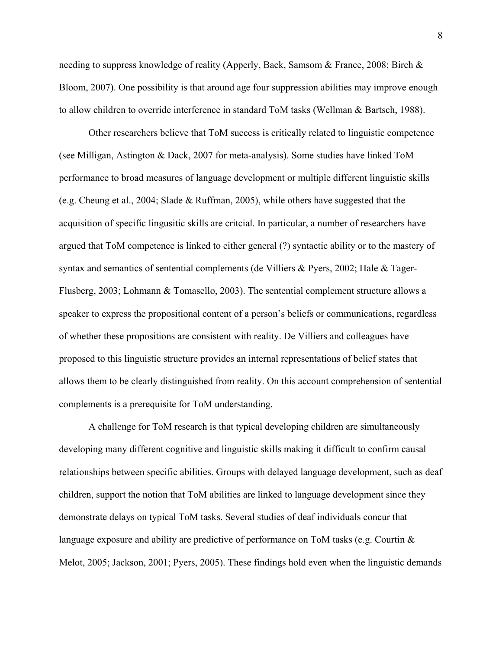needing to suppress knowledge of reality (Apperly, Back, Samsom & France, 2008; Birch & Bloom, 2007). One possibility is that around age four suppression abilities may improve enough to allow children to override interference in standard ToM tasks (Wellman & Bartsch, 1988).

Other researchers believe that ToM success is critically related to linguistic competence (see Milligan, Astington & Dack, 2007 for meta-analysis). Some studies have linked ToM performance to broad measures of language development or multiple different linguistic skills (e.g. Cheung et al., 2004; Slade & Ruffman, 2005), while others have suggested that the acquisition of specific lingusitic skills are critcial. In particular, a number of researchers have argued that ToM competence is linked to either general (?) syntactic ability or to the mastery of syntax and semantics of sentential complements (de Villiers & Pyers, 2002; Hale & Tager-Flusberg, 2003; Lohmann & Tomasello, 2003). The sentential complement structure allows a speaker to express the propositional content of a person's beliefs or communications, regardless of whether these propositions are consistent with reality. De Villiers and colleagues have proposed to this linguistic structure provides an internal representations of belief states that allows them to be clearly distinguished from reality. On this account comprehension of sentential complements is a prerequisite for ToM understanding.

A challenge for ToM research is that typical developing children are simultaneously developing many different cognitive and linguistic skills making it difficult to confirm causal relationships between specific abilities. Groups with delayed language development, such as deaf children, support the notion that ToM abilities are linked to language development since they demonstrate delays on typical ToM tasks. Several studies of deaf individuals concur that language exposure and ability are predictive of performance on ToM tasks (e.g. Courtin & Melot, 2005; Jackson, 2001; Pyers, 2005). These findings hold even when the linguistic demands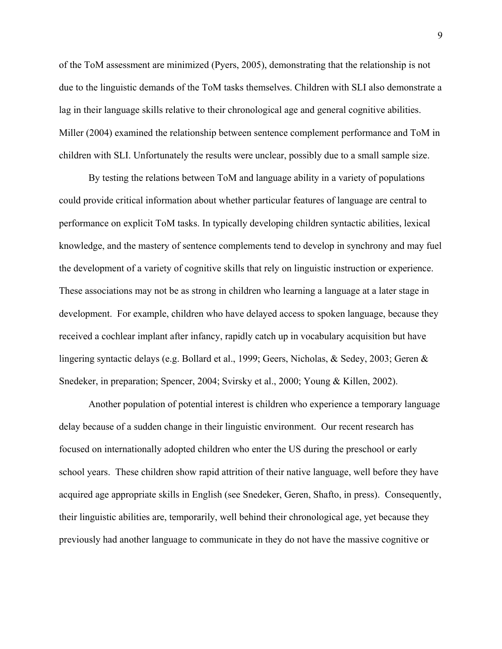of the ToM assessment are minimized (Pyers, 2005), demonstrating that the relationship is not due to the linguistic demands of the ToM tasks themselves. Children with SLI also demonstrate a lag in their language skills relative to their chronological age and general cognitive abilities. Miller (2004) examined the relationship between sentence complement performance and ToM in children with SLI. Unfortunately the results were unclear, possibly due to a small sample size.

By testing the relations between ToM and language ability in a variety of populations could provide critical information about whether particular features of language are central to performance on explicit ToM tasks. In typically developing children syntactic abilities, lexical knowledge, and the mastery of sentence complements tend to develop in synchrony and may fuel the development of a variety of cognitive skills that rely on linguistic instruction or experience. These associations may not be as strong in children who learning a language at a later stage in development. For example, children who have delayed access to spoken language, because they received a cochlear implant after infancy, rapidly catch up in vocabulary acquisition but have lingering syntactic delays (e.g. Bollard et al., 1999; Geers, Nicholas, & Sedey, 2003; Geren & Snedeker, in preparation; Spencer, 2004; Svirsky et al., 2000; Young & Killen, 2002).

Another population of potential interest is children who experience a temporary language delay because of a sudden change in their linguistic environment. Our recent research has focused on internationally adopted children who enter the US during the preschool or early school years. These children show rapid attrition of their native language, well before they have acquired age appropriate skills in English (see Snedeker, Geren, Shafto, in press). Consequently, their linguistic abilities are, temporarily, well behind their chronological age, yet because they previously had another language to communicate in they do not have the massive cognitive or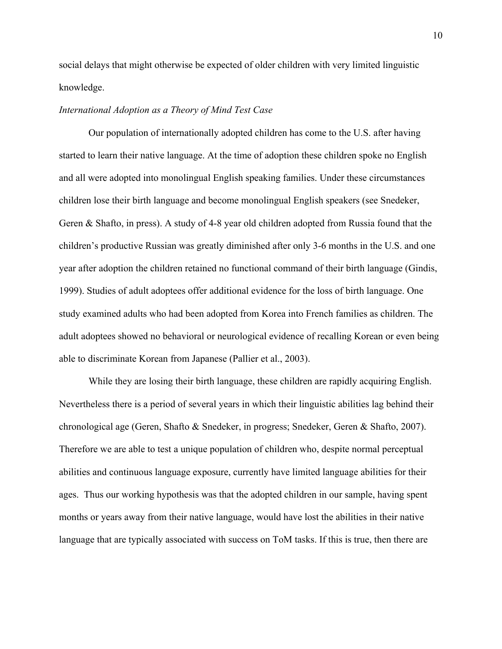social delays that might otherwise be expected of older children with very limited linguistic knowledge.

# *International Adoption as a Theory of Mind Test Case*

 Our population of internationally adopted children has come to the U.S. after having started to learn their native language. At the time of adoption these children spoke no English and all were adopted into monolingual English speaking families. Under these circumstances children lose their birth language and become monolingual English speakers (see Snedeker, Geren & Shafto, in press). A study of 4-8 year old children adopted from Russia found that the children's productive Russian was greatly diminished after only 3-6 months in the U.S. and one year after adoption the children retained no functional command of their birth language (Gindis, 1999). Studies of adult adoptees offer additional evidence for the loss of birth language. One study examined adults who had been adopted from Korea into French families as children. The adult adoptees showed no behavioral or neurological evidence of recalling Korean or even being able to discriminate Korean from Japanese (Pallier et al., 2003).

 While they are losing their birth language, these children are rapidly acquiring English. Nevertheless there is a period of several years in which their linguistic abilities lag behind their chronological age (Geren, Shafto & Snedeker, in progress; Snedeker, Geren & Shafto, 2007). Therefore we are able to test a unique population of children who, despite normal perceptual abilities and continuous language exposure, currently have limited language abilities for their ages. Thus our working hypothesis was that the adopted children in our sample, having spent months or years away from their native language, would have lost the abilities in their native language that are typically associated with success on ToM tasks. If this is true, then there are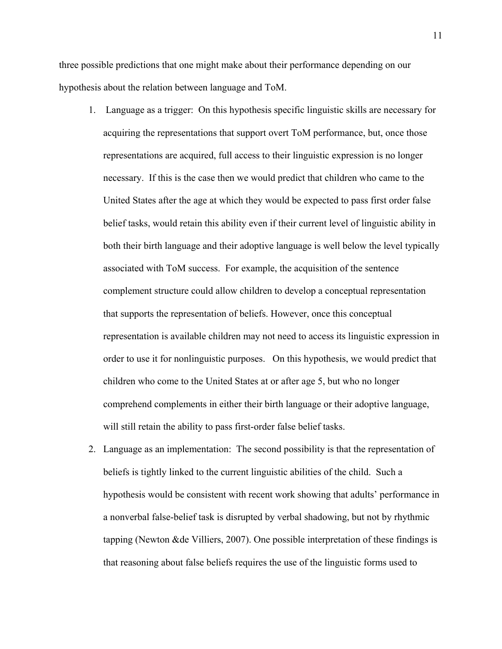three possible predictions that one might make about their performance depending on our hypothesis about the relation between language and ToM.

- 1. Language as a trigger: On this hypothesis specific linguistic skills are necessary for acquiring the representations that support overt ToM performance, but, once those representations are acquired, full access to their linguistic expression is no longer necessary. If this is the case then we would predict that children who came to the United States after the age at which they would be expected to pass first order false belief tasks, would retain this ability even if their current level of linguistic ability in both their birth language and their adoptive language is well below the level typically associated with ToM success. For example, the acquisition of the sentence complement structure could allow children to develop a conceptual representation that supports the representation of beliefs. However, once this conceptual representation is available children may not need to access its linguistic expression in order to use it for nonlinguistic purposes. On this hypothesis, we would predict that children who come to the United States at or after age 5, but who no longer comprehend complements in either their birth language or their adoptive language, will still retain the ability to pass first-order false belief tasks.
- 2. Language as an implementation: The second possibility is that the representation of beliefs is tightly linked to the current linguistic abilities of the child. Such a hypothesis would be consistent with recent work showing that adults' performance in a nonverbal false-belief task is disrupted by verbal shadowing, but not by rhythmic tapping (Newton &de Villiers, 2007). One possible interpretation of these findings is that reasoning about false beliefs requires the use of the linguistic forms used to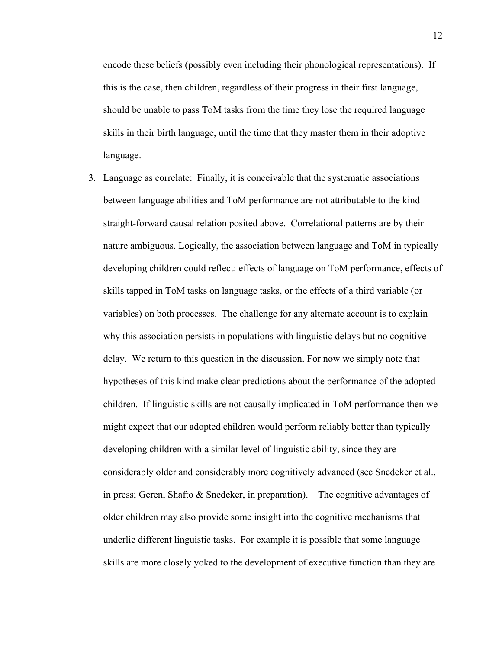encode these beliefs (possibly even including their phonological representations). If this is the case, then children, regardless of their progress in their first language, should be unable to pass ToM tasks from the time they lose the required language skills in their birth language, until the time that they master them in their adoptive language.

3. Language as correlate: Finally, it is conceivable that the systematic associations between language abilities and ToM performance are not attributable to the kind straight-forward causal relation posited above. Correlational patterns are by their nature ambiguous. Logically, the association between language and ToM in typically developing children could reflect: effects of language on ToM performance, effects of skills tapped in ToM tasks on language tasks, or the effects of a third variable (or variables) on both processes. The challenge for any alternate account is to explain why this association persists in populations with linguistic delays but no cognitive delay. We return to this question in the discussion. For now we simply note that hypotheses of this kind make clear predictions about the performance of the adopted children. If linguistic skills are not causally implicated in ToM performance then we might expect that our adopted children would perform reliably better than typically developing children with a similar level of linguistic ability, since they are considerably older and considerably more cognitively advanced (see Snedeker et al., in press; Geren, Shafto & Snedeker, in preparation). The cognitive advantages of older children may also provide some insight into the cognitive mechanisms that underlie different linguistic tasks. For example it is possible that some language skills are more closely yoked to the development of executive function than they are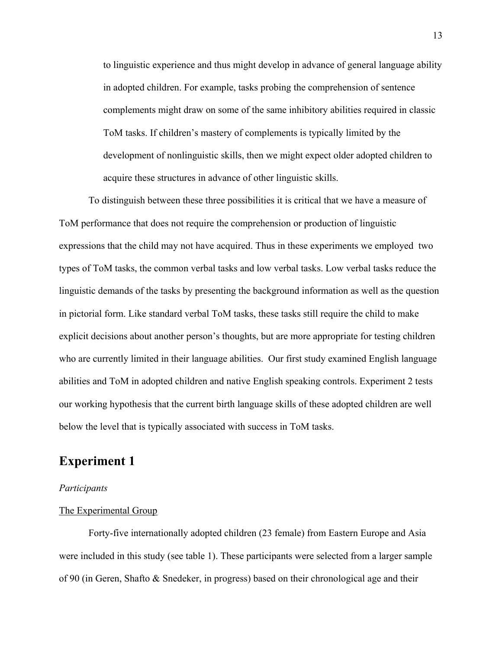to linguistic experience and thus might develop in advance of general language ability in adopted children. For example, tasks probing the comprehension of sentence complements might draw on some of the same inhibitory abilities required in classic ToM tasks. If children's mastery of complements is typically limited by the development of nonlinguistic skills, then we might expect older adopted children to acquire these structures in advance of other linguistic skills.

To distinguish between these three possibilities it is critical that we have a measure of ToM performance that does not require the comprehension or production of linguistic expressions that the child may not have acquired. Thus in these experiments we employed two types of ToM tasks, the common verbal tasks and low verbal tasks. Low verbal tasks reduce the linguistic demands of the tasks by presenting the background information as well as the question in pictorial form. Like standard verbal ToM tasks, these tasks still require the child to make explicit decisions about another person's thoughts, but are more appropriate for testing children who are currently limited in their language abilities. Our first study examined English language abilities and ToM in adopted children and native English speaking controls. Experiment 2 tests our working hypothesis that the current birth language skills of these adopted children are well below the level that is typically associated with success in ToM tasks.

# **Experiment 1**

# *Participants*

# The Experimental Group

 Forty-five internationally adopted children (23 female) from Eastern Europe and Asia were included in this study (see table 1). These participants were selected from a larger sample of 90 (in Geren, Shafto & Snedeker, in progress) based on their chronological age and their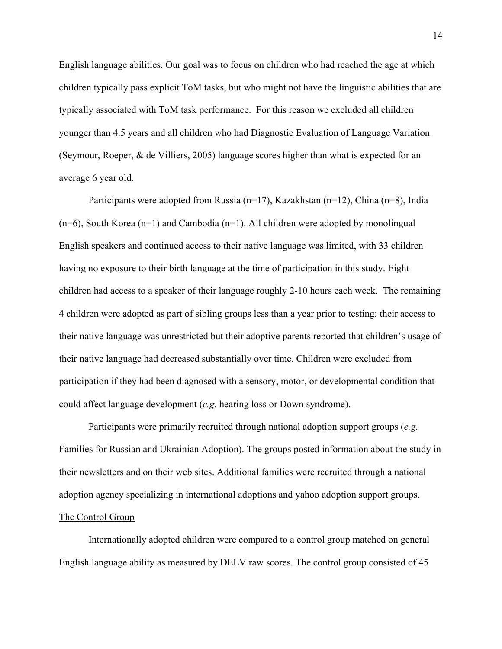English language abilities. Our goal was to focus on children who had reached the age at which children typically pass explicit ToM tasks, but who might not have the linguistic abilities that are typically associated with ToM task performance. For this reason we excluded all children younger than 4.5 years and all children who had Diagnostic Evaluation of Language Variation (Seymour, Roeper, & de Villiers, 2005) language scores higher than what is expected for an average 6 year old.

 Participants were adopted from Russia (n=17), Kazakhstan (n=12), China (n=8), India  $(n=6)$ , South Korea  $(n=1)$  and Cambodia  $(n=1)$ . All children were adopted by monolingual English speakers and continued access to their native language was limited, with 33 children having no exposure to their birth language at the time of participation in this study. Eight children had access to a speaker of their language roughly 2-10 hours each week. The remaining 4 children were adopted as part of sibling groups less than a year prior to testing; their access to their native language was unrestricted but their adoptive parents reported that children's usage of their native language had decreased substantially over time. Children were excluded from participation if they had been diagnosed with a sensory, motor, or developmental condition that could affect language development (*e.g*. hearing loss or Down syndrome).

Participants were primarily recruited through national adoption support groups (*e.g.* Families for Russian and Ukrainian Adoption). The groups posted information about the study in their newsletters and on their web sites. Additional families were recruited through a national adoption agency specializing in international adoptions and yahoo adoption support groups. The Control Group

Internationally adopted children were compared to a control group matched on general English language ability as measured by DELV raw scores. The control group consisted of 45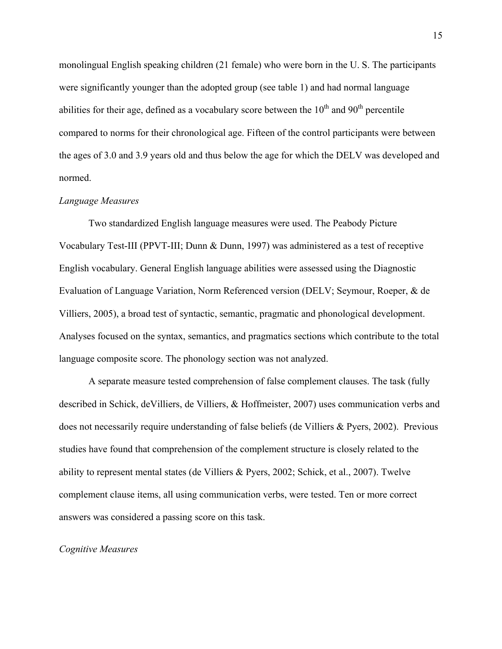monolingual English speaking children (21 female) who were born in the U. S. The participants were significantly younger than the adopted group (see table 1) and had normal language abilities for their age, defined as a vocabulary score between the  $10<sup>th</sup>$  and  $90<sup>th</sup>$  percentile compared to norms for their chronological age. Fifteen of the control participants were between the ages of 3.0 and 3.9 years old and thus below the age for which the DELV was developed and normed.

# *Language Measures*

Two standardized English language measures were used. The Peabody Picture Vocabulary Test-III (PPVT-III; Dunn & Dunn, 1997) was administered as a test of receptive English vocabulary. General English language abilities were assessed using the Diagnostic Evaluation of Language Variation, Norm Referenced version (DELV; Seymour, Roeper, & de Villiers, 2005), a broad test of syntactic, semantic, pragmatic and phonological development. Analyses focused on the syntax, semantics, and pragmatics sections which contribute to the total language composite score. The phonology section was not analyzed.

A separate measure tested comprehension of false complement clauses. The task (fully described in Schick, deVilliers, de Villiers, & Hoffmeister, 2007) uses communication verbs and does not necessarily require understanding of false beliefs (de Villiers & Pyers, 2002). Previous studies have found that comprehension of the complement structure is closely related to the ability to represent mental states (de Villiers & Pyers, 2002; Schick, et al., 2007). Twelve complement clause items, all using communication verbs, were tested. Ten or more correct answers was considered a passing score on this task.

#### *Cognitive Measures*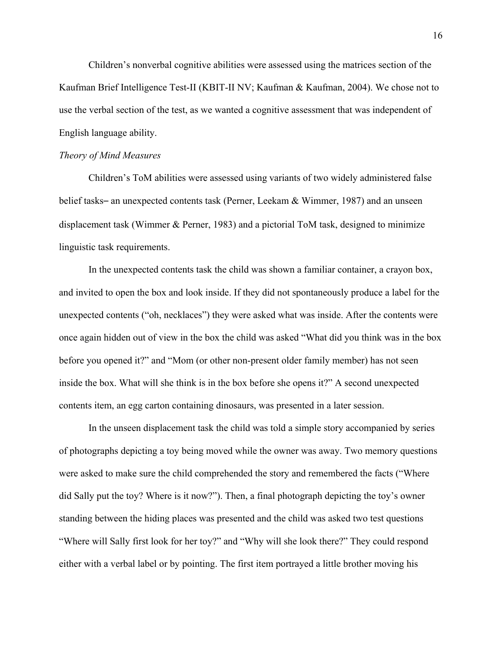Children's nonverbal cognitive abilities were assessed using the matrices section of the Kaufman Brief Intelligence Test-II (KBIT-II NV; Kaufman & Kaufman, 2004). We chose not to use the verbal section of the test, as we wanted a cognitive assessment that was independent of English language ability.

#### *Theory of Mind Measures*

Children's ToM abilities were assessed using variants of two widely administered false belief tasks– an unexpected contents task (Perner, Leekam & Wimmer, 1987) and an unseen displacement task (Wimmer  $\&$  Perner, 1983) and a pictorial ToM task, designed to minimize linguistic task requirements.

In the unexpected contents task the child was shown a familiar container, a crayon box, and invited to open the box and look inside. If they did not spontaneously produce a label for the unexpected contents ("oh, necklaces") they were asked what was inside. After the contents were once again hidden out of view in the box the child was asked "What did you think was in the box before you opened it?" and "Mom (or other non-present older family member) has not seen inside the box. What will she think is in the box before she opens it?" A second unexpected contents item, an egg carton containing dinosaurs, was presented in a later session.

In the unseen displacement task the child was told a simple story accompanied by series of photographs depicting a toy being moved while the owner was away. Two memory questions were asked to make sure the child comprehended the story and remembered the facts ("Where did Sally put the toy? Where is it now?"). Then, a final photograph depicting the toy's owner standing between the hiding places was presented and the child was asked two test questions "Where will Sally first look for her toy?" and "Why will she look there?" They could respond either with a verbal label or by pointing. The first item portrayed a little brother moving his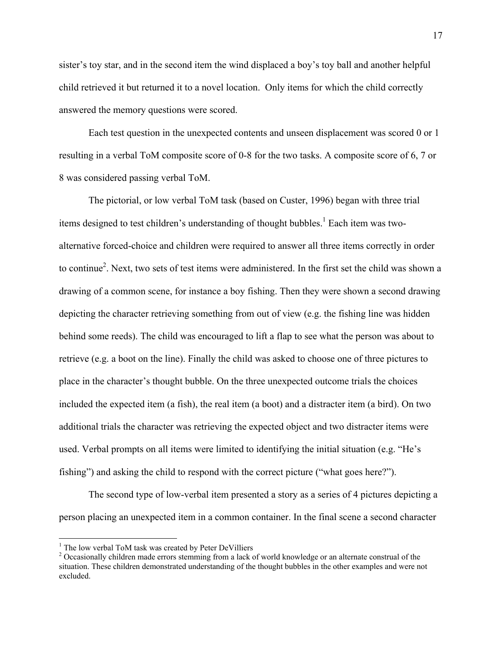sister's toy star, and in the second item the wind displaced a boy's toy ball and another helpful child retrieved it but returned it to a novel location. Only items for which the child correctly answered the memory questions were scored.

Each test question in the unexpected contents and unseen displacement was scored 0 or 1 resulting in a verbal ToM composite score of 0-8 for the two tasks. A composite score of 6, 7 or 8 was considered passing verbal ToM.

 The pictorial, or low verbal ToM task (based on Custer, 1996) began with three trial items designed to test children's understanding of thought bubbles. $<sup>1</sup>$  Each item was two-</sup> alternative forced-choice and children were required to answer all three items correctly in order to continue<sup>2</sup>. Next, two sets of test items were administered. In the first set the child was shown a drawing of a common scene, for instance a boy fishing. Then they were shown a second drawing depicting the character retrieving something from out of view (e.g. the fishing line was hidden behind some reeds). The child was encouraged to lift a flap to see what the person was about to retrieve (e.g. a boot on the line). Finally the child was asked to choose one of three pictures to place in the character's thought bubble. On the three unexpected outcome trials the choices included the expected item (a fish), the real item (a boot) and a distracter item (a bird). On two additional trials the character was retrieving the expected object and two distracter items were used. Verbal prompts on all items were limited to identifying the initial situation (e.g. "He's fishing") and asking the child to respond with the correct picture ("what goes here?").

The second type of low-verbal item presented a story as a series of 4 pictures depicting a person placing an unexpected item in a common container. In the final scene a second character

 $\overline{a}$ 

<sup>&</sup>lt;sup>1</sup> The low verbal ToM task was created by Peter DeVilliers  $\frac{2}{3}$  Occasionally objects made express stamming from a lack of

<sup>&</sup>lt;sup>2</sup> Occasionally children made errors stemming from a lack of world knowledge or an alternate construal of the situation. These children demonstrated understanding of the thought bubbles in the other examples and were not excluded.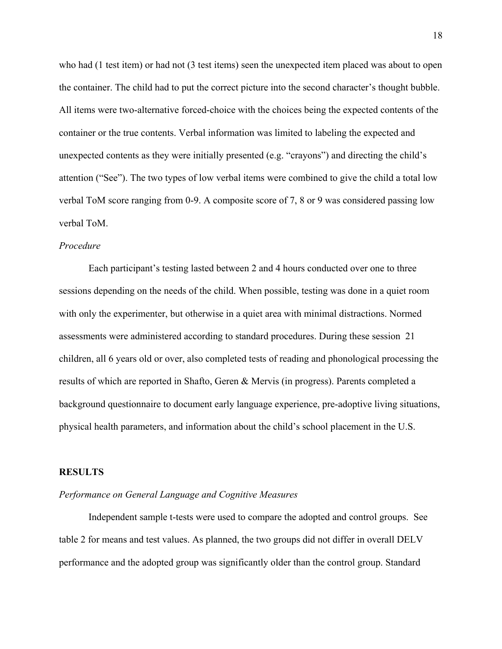who had (1 test item) or had not (3 test items) seen the unexpected item placed was about to open the container. The child had to put the correct picture into the second character's thought bubble. All items were two-alternative forced-choice with the choices being the expected contents of the container or the true contents. Verbal information was limited to labeling the expected and unexpected contents as they were initially presented (e.g. "crayons") and directing the child's attention ("See"). The two types of low verbal items were combined to give the child a total low verbal ToM score ranging from 0-9. A composite score of 7, 8 or 9 was considered passing low verbal ToM.

## *Procedure*

 Each participant's testing lasted between 2 and 4 hours conducted over one to three sessions depending on the needs of the child. When possible, testing was done in a quiet room with only the experimenter, but otherwise in a quiet area with minimal distractions. Normed assessments were administered according to standard procedures. During these session 21 children, all 6 years old or over, also completed tests of reading and phonological processing the results of which are reported in Shafto, Geren & Mervis (in progress). Parents completed a background questionnaire to document early language experience, pre-adoptive living situations, physical health parameters, and information about the child's school placement in the U.S.

#### **RESULTS**

# *Performance on General Language and Cognitive Measures*

Independent sample t-tests were used to compare the adopted and control groups. See table 2 for means and test values. As planned, the two groups did not differ in overall DELV performance and the adopted group was significantly older than the control group. Standard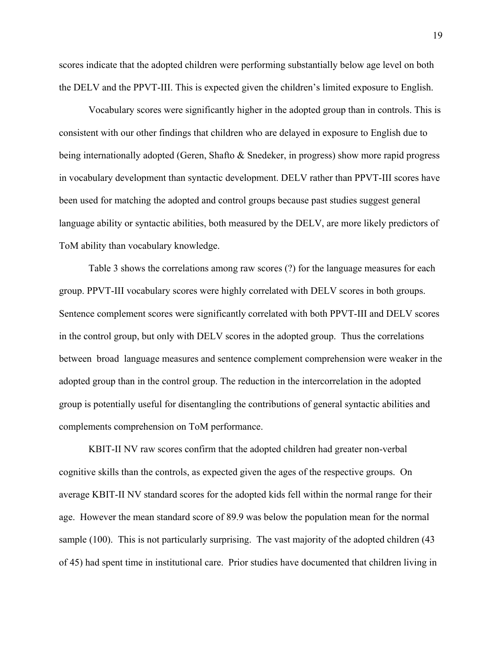scores indicate that the adopted children were performing substantially below age level on both the DELV and the PPVT-III. This is expected given the children's limited exposure to English.

Vocabulary scores were significantly higher in the adopted group than in controls. This is consistent with our other findings that children who are delayed in exposure to English due to being internationally adopted (Geren, Shafto & Snedeker, in progress) show more rapid progress in vocabulary development than syntactic development. DELV rather than PPVT-III scores have been used for matching the adopted and control groups because past studies suggest general language ability or syntactic abilities, both measured by the DELV, are more likely predictors of ToM ability than vocabulary knowledge.

Table 3 shows the correlations among raw scores (?) for the language measures for each group. PPVT-III vocabulary scores were highly correlated with DELV scores in both groups. Sentence complement scores were significantly correlated with both PPVT-III and DELV scores in the control group, but only with DELV scores in the adopted group. Thus the correlations between broad language measures and sentence complement comprehension were weaker in the adopted group than in the control group. The reduction in the intercorrelation in the adopted group is potentially useful for disentangling the contributions of general syntactic abilities and complements comprehension on ToM performance.

KBIT-II NV raw scores confirm that the adopted children had greater non-verbal cognitive skills than the controls, as expected given the ages of the respective groups. On average KBIT-II NV standard scores for the adopted kids fell within the normal range for their age. However the mean standard score of 89.9 was below the population mean for the normal sample (100). This is not particularly surprising. The vast majority of the adopted children (43) of 45) had spent time in institutional care. Prior studies have documented that children living in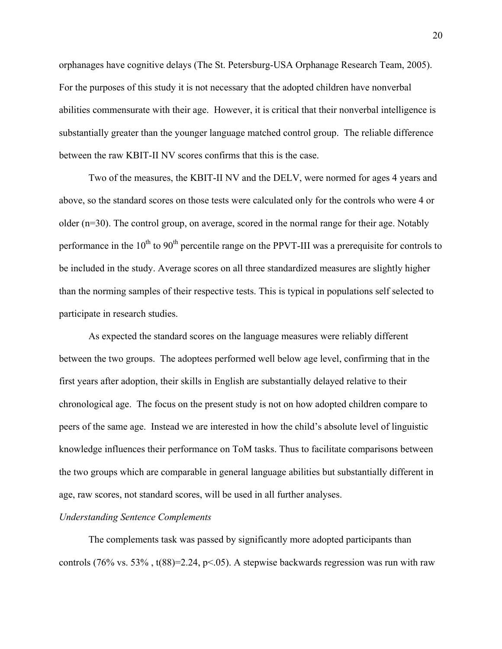orphanages have cognitive delays (The St. Petersburg-USA Orphanage Research Team, 2005). For the purposes of this study it is not necessary that the adopted children have nonverbal abilities commensurate with their age. However, it is critical that their nonverbal intelligence is substantially greater than the younger language matched control group. The reliable difference between the raw KBIT-II NV scores confirms that this is the case.

Two of the measures, the KBIT-II NV and the DELV, were normed for ages 4 years and above, so the standard scores on those tests were calculated only for the controls who were 4 or older (n=30). The control group, on average, scored in the normal range for their age. Notably performance in the  $10^{th}$  to  $90^{th}$  percentile range on the PPVT-III was a prerequisite for controls to be included in the study. Average scores on all three standardized measures are slightly higher than the norming samples of their respective tests. This is typical in populations self selected to participate in research studies.

As expected the standard scores on the language measures were reliably different between the two groups. The adoptees performed well below age level, confirming that in the first years after adoption, their skills in English are substantially delayed relative to their chronological age. The focus on the present study is not on how adopted children compare to peers of the same age. Instead we are interested in how the child's absolute level of linguistic knowledge influences their performance on ToM tasks. Thus to facilitate comparisons between the two groups which are comparable in general language abilities but substantially different in age, raw scores, not standard scores, will be used in all further analyses.

# *Understanding Sentence Complements*

The complements task was passed by significantly more adopted participants than controls (76% vs. 53%,  $t(88)=2.24$ ,  $p<05$ ). A stepwise backwards regression was run with raw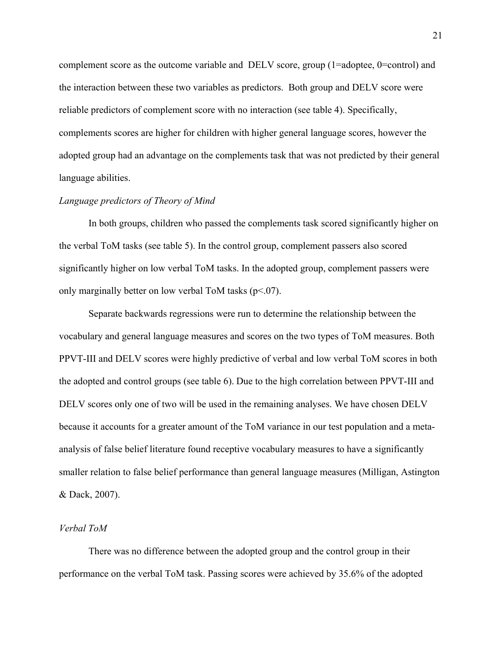complement score as the outcome variable and DELV score, group (1=adoptee, 0=control) and the interaction between these two variables as predictors. Both group and DELV score were reliable predictors of complement score with no interaction (see table 4). Specifically, complements scores are higher for children with higher general language scores, however the adopted group had an advantage on the complements task that was not predicted by their general language abilities.

# *Language predictors of Theory of Mind*

In both groups, children who passed the complements task scored significantly higher on the verbal ToM tasks (see table 5). In the control group, complement passers also scored significantly higher on low verbal ToM tasks. In the adopted group, complement passers were only marginally better on low verbal ToM tasks  $(p<.07)$ .

Separate backwards regressions were run to determine the relationship between the vocabulary and general language measures and scores on the two types of ToM measures. Both PPVT-III and DELV scores were highly predictive of verbal and low verbal ToM scores in both the adopted and control groups (see table 6). Due to the high correlation between PPVT-III and DELV scores only one of two will be used in the remaining analyses. We have chosen DELV because it accounts for a greater amount of the ToM variance in our test population and a metaanalysis of false belief literature found receptive vocabulary measures to have a significantly smaller relation to false belief performance than general language measures (Milligan, Astington & Dack, 2007).

# *Verbal ToM*

There was no difference between the adopted group and the control group in their performance on the verbal ToM task. Passing scores were achieved by 35.6% of the adopted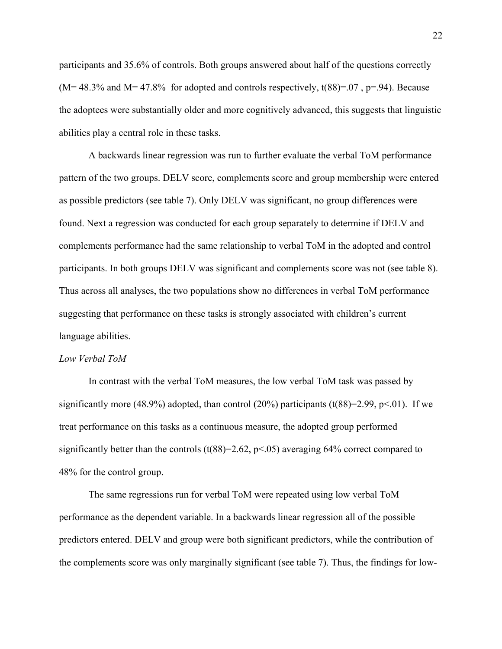participants and 35.6% of controls. Both groups answered about half of the questions correctly  $(M=48.3\%$  and  $M=47.8\%$  for adopted and controls respectively, t(88)=.07, p=.94). Because the adoptees were substantially older and more cognitively advanced, this suggests that linguistic abilities play a central role in these tasks.

A backwards linear regression was run to further evaluate the verbal ToM performance pattern of the two groups. DELV score, complements score and group membership were entered as possible predictors (see table 7). Only DELV was significant, no group differences were found. Next a regression was conducted for each group separately to determine if DELV and complements performance had the same relationship to verbal ToM in the adopted and control participants. In both groups DELV was significant and complements score was not (see table 8). Thus across all analyses, the two populations show no differences in verbal ToM performance suggesting that performance on these tasks is strongly associated with children's current language abilities.

#### *Low Verbal ToM*

 In contrast with the verbal ToM measures, the low verbal ToM task was passed by significantly more (48.9%) adopted, than control (20%) participants (t(88)=2.99, p<.01). If we treat performance on this tasks as a continuous measure, the adopted group performed significantly better than the controls  $(t(88)=2.62, p<0.65)$  averaging 64% correct compared to 48% for the control group.

The same regressions run for verbal ToM were repeated using low verbal ToM performance as the dependent variable. In a backwards linear regression all of the possible predictors entered. DELV and group were both significant predictors, while the contribution of the complements score was only marginally significant (see table 7). Thus, the findings for low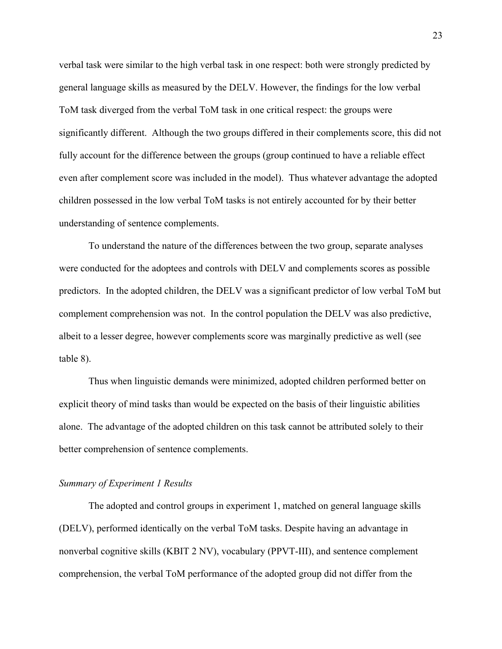verbal task were similar to the high verbal task in one respect: both were strongly predicted by general language skills as measured by the DELV. However, the findings for the low verbal ToM task diverged from the verbal ToM task in one critical respect: the groups were significantly different. Although the two groups differed in their complements score, this did not fully account for the difference between the groups (group continued to have a reliable effect even after complement score was included in the model). Thus whatever advantage the adopted children possessed in the low verbal ToM tasks is not entirely accounted for by their better understanding of sentence complements.

To understand the nature of the differences between the two group, separate analyses were conducted for the adoptees and controls with DELV and complements scores as possible predictors. In the adopted children, the DELV was a significant predictor of low verbal ToM but complement comprehension was not. In the control population the DELV was also predictive, albeit to a lesser degree, however complements score was marginally predictive as well (see table 8).

Thus when linguistic demands were minimized, adopted children performed better on explicit theory of mind tasks than would be expected on the basis of their linguistic abilities alone. The advantage of the adopted children on this task cannot be attributed solely to their better comprehension of sentence complements.

### *Summary of Experiment 1 Results*

The adopted and control groups in experiment 1, matched on general language skills (DELV), performed identically on the verbal ToM tasks. Despite having an advantage in nonverbal cognitive skills (KBIT 2 NV), vocabulary (PPVT-III), and sentence complement comprehension, the verbal ToM performance of the adopted group did not differ from the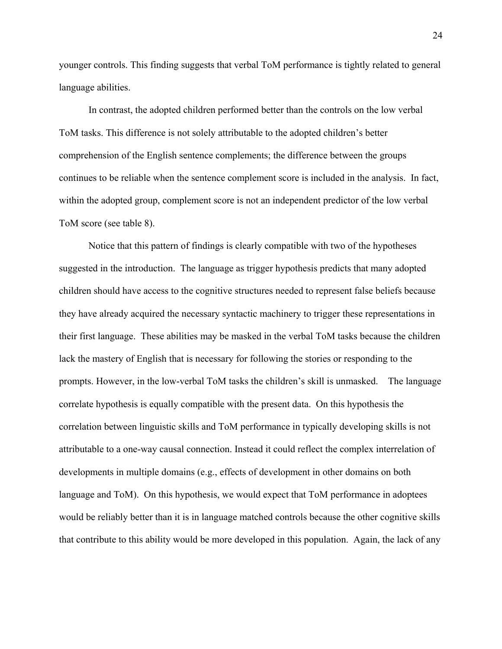younger controls. This finding suggests that verbal ToM performance is tightly related to general language abilities.

 In contrast, the adopted children performed better than the controls on the low verbal ToM tasks. This difference is not solely attributable to the adopted children's better comprehension of the English sentence complements; the difference between the groups continues to be reliable when the sentence complement score is included in the analysis. In fact, within the adopted group, complement score is not an independent predictor of the low verbal ToM score (see table 8).

Notice that this pattern of findings is clearly compatible with two of the hypotheses suggested in the introduction. The language as trigger hypothesis predicts that many adopted children should have access to the cognitive structures needed to represent false beliefs because they have already acquired the necessary syntactic machinery to trigger these representations in their first language. These abilities may be masked in the verbal ToM tasks because the children lack the mastery of English that is necessary for following the stories or responding to the prompts. However, in the low-verbal ToM tasks the children's skill is unmasked. The language correlate hypothesis is equally compatible with the present data. On this hypothesis the correlation between linguistic skills and ToM performance in typically developing skills is not attributable to a one-way causal connection. Instead it could reflect the complex interrelation of developments in multiple domains (e.g., effects of development in other domains on both language and ToM). On this hypothesis, we would expect that ToM performance in adoptees would be reliably better than it is in language matched controls because the other cognitive skills that contribute to this ability would be more developed in this population. Again, the lack of any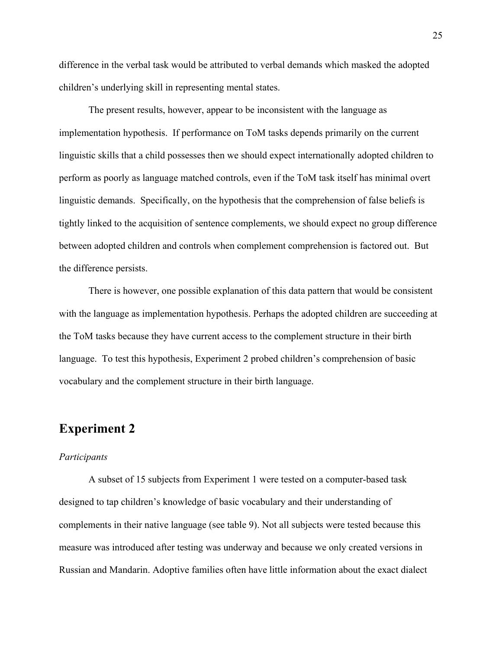difference in the verbal task would be attributed to verbal demands which masked the adopted children's underlying skill in representing mental states.

The present results, however, appear to be inconsistent with the language as implementation hypothesis. If performance on ToM tasks depends primarily on the current linguistic skills that a child possesses then we should expect internationally adopted children to perform as poorly as language matched controls, even if the ToM task itself has minimal overt linguistic demands. Specifically, on the hypothesis that the comprehension of false beliefs is tightly linked to the acquisition of sentence complements, we should expect no group difference between adopted children and controls when complement comprehension is factored out. But the difference persists.

There is however, one possible explanation of this data pattern that would be consistent with the language as implementation hypothesis. Perhaps the adopted children are succeeding at the ToM tasks because they have current access to the complement structure in their birth language. To test this hypothesis, Experiment 2 probed children's comprehension of basic vocabulary and the complement structure in their birth language.

# **Experiment 2**

# *Participants*

A subset of 15 subjects from Experiment 1 were tested on a computer-based task designed to tap children's knowledge of basic vocabulary and their understanding of complements in their native language (see table 9). Not all subjects were tested because this measure was introduced after testing was underway and because we only created versions in Russian and Mandarin. Adoptive families often have little information about the exact dialect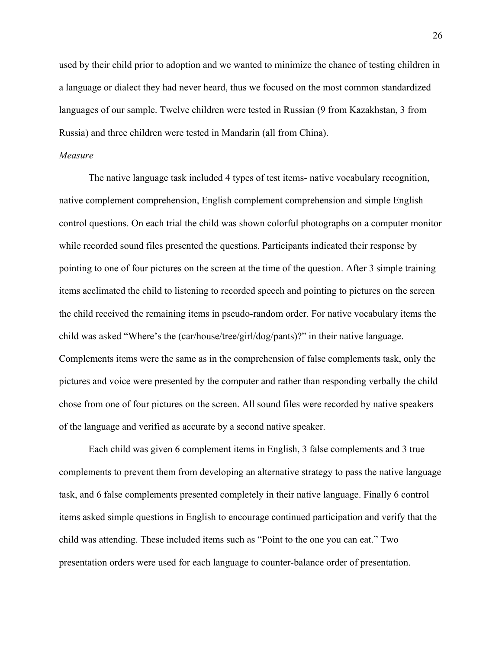used by their child prior to adoption and we wanted to minimize the chance of testing children in a language or dialect they had never heard, thus we focused on the most common standardized languages of our sample. Twelve children were tested in Russian (9 from Kazakhstan, 3 from Russia) and three children were tested in Mandarin (all from China).

# *Measure*

The native language task included 4 types of test items- native vocabulary recognition, native complement comprehension, English complement comprehension and simple English control questions. On each trial the child was shown colorful photographs on a computer monitor while recorded sound files presented the questions. Participants indicated their response by pointing to one of four pictures on the screen at the time of the question. After 3 simple training items acclimated the child to listening to recorded speech and pointing to pictures on the screen the child received the remaining items in pseudo-random order. For native vocabulary items the child was asked "Where's the (car/house/tree/girl/dog/pants)?" in their native language. Complements items were the same as in the comprehension of false complements task, only the pictures and voice were presented by the computer and rather than responding verbally the child chose from one of four pictures on the screen. All sound files were recorded by native speakers of the language and verified as accurate by a second native speaker.

Each child was given 6 complement items in English, 3 false complements and 3 true complements to prevent them from developing an alternative strategy to pass the native language task, and 6 false complements presented completely in their native language. Finally 6 control items asked simple questions in English to encourage continued participation and verify that the child was attending. These included items such as "Point to the one you can eat." Two presentation orders were used for each language to counter-balance order of presentation.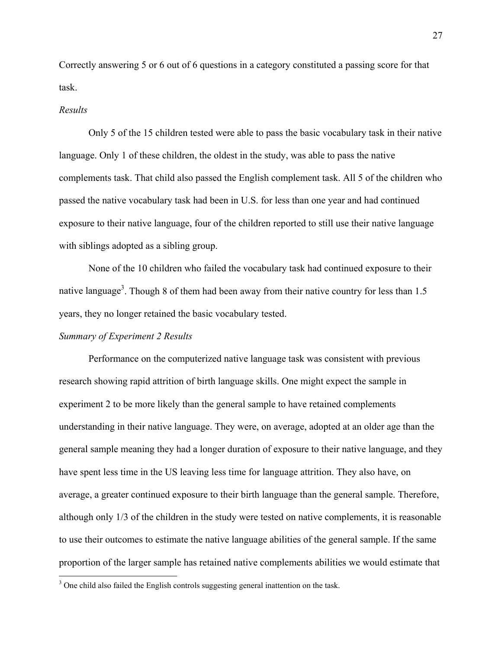Correctly answering 5 or 6 out of 6 questions in a category constituted a passing score for that task.

#### *Results*

Only 5 of the 15 children tested were able to pass the basic vocabulary task in their native language. Only 1 of these children, the oldest in the study, was able to pass the native complements task. That child also passed the English complement task. All 5 of the children who passed the native vocabulary task had been in U.S. for less than one year and had continued exposure to their native language, four of the children reported to still use their native language with siblings adopted as a sibling group.

None of the 10 children who failed the vocabulary task had continued exposure to their native language<sup>3</sup>. Though 8 of them had been away from their native country for less than 1.5 years, they no longer retained the basic vocabulary tested.

# *Summary of Experiment 2 Results*

Performance on the computerized native language task was consistent with previous research showing rapid attrition of birth language skills. One might expect the sample in experiment 2 to be more likely than the general sample to have retained complements understanding in their native language. They were, on average, adopted at an older age than the general sample meaning they had a longer duration of exposure to their native language, and they have spent less time in the US leaving less time for language attrition. They also have, on average, a greater continued exposure to their birth language than the general sample. Therefore, although only 1/3 of the children in the study were tested on native complements, it is reasonable to use their outcomes to estimate the native language abilities of the general sample. If the same proportion of the larger sample has retained native complements abilities we would estimate that

<sup>&</sup>lt;sup>3</sup> One child also failed the English controls suggesting general inattention on the task.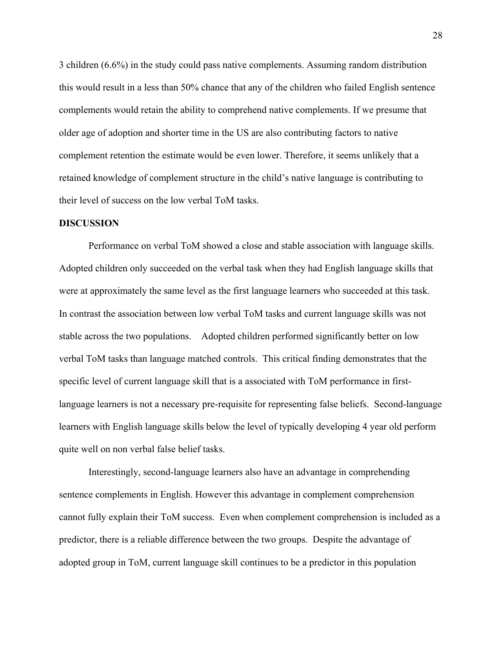3 children (6.6%) in the study could pass native complements. Assuming random distribution this would result in a less than 50% chance that any of the children who failed English sentence complements would retain the ability to comprehend native complements. If we presume that older age of adoption and shorter time in the US are also contributing factors to native complement retention the estimate would be even lower. Therefore, it seems unlikely that a retained knowledge of complement structure in the child's native language is contributing to their level of success on the low verbal ToM tasks.

#### **DISCUSSION**

 Performance on verbal ToM showed a close and stable association with language skills. Adopted children only succeeded on the verbal task when they had English language skills that were at approximately the same level as the first language learners who succeeded at this task. In contrast the association between low verbal ToM tasks and current language skills was not stable across the two populations. Adopted children performed significantly better on low verbal ToM tasks than language matched controls. This critical finding demonstrates that the specific level of current language skill that is a associated with ToM performance in firstlanguage learners is not a necessary pre-requisite for representing false beliefs. Second-language learners with English language skills below the level of typically developing 4 year old perform quite well on non verbal false belief tasks.

Interestingly, second-language learners also have an advantage in comprehending sentence complements in English. However this advantage in complement comprehension cannot fully explain their ToM success. Even when complement comprehension is included as a predictor, there is a reliable difference between the two groups. Despite the advantage of adopted group in ToM, current language skill continues to be a predictor in this population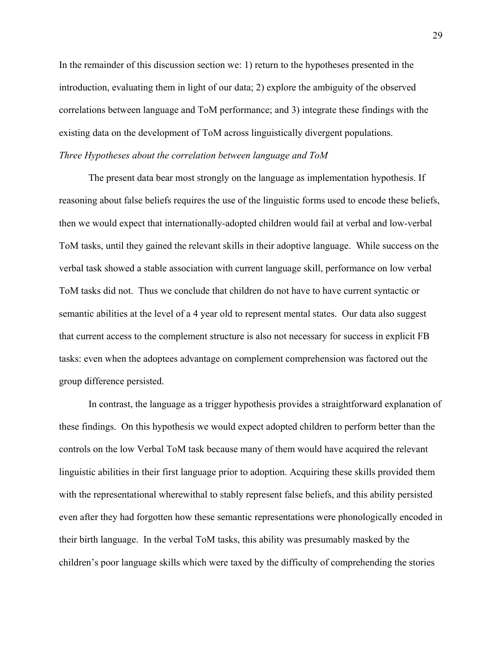In the remainder of this discussion section we: 1) return to the hypotheses presented in the introduction, evaluating them in light of our data; 2) explore the ambiguity of the observed correlations between language and ToM performance; and 3) integrate these findings with the existing data on the development of ToM across linguistically divergent populations. *Three Hypotheses about the correlation between language and ToM* 

The present data bear most strongly on the language as implementation hypothesis. If reasoning about false beliefs requires the use of the linguistic forms used to encode these beliefs, then we would expect that internationally-adopted children would fail at verbal and low-verbal ToM tasks, until they gained the relevant skills in their adoptive language. While success on the verbal task showed a stable association with current language skill, performance on low verbal ToM tasks did not. Thus we conclude that children do not have to have current syntactic or semantic abilities at the level of a 4 year old to represent mental states. Our data also suggest that current access to the complement structure is also not necessary for success in explicit FB tasks: even when the adoptees advantage on complement comprehension was factored out the group difference persisted.

In contrast, the language as a trigger hypothesis provides a straightforward explanation of these findings. On this hypothesis we would expect adopted children to perform better than the controls on the low Verbal ToM task because many of them would have acquired the relevant linguistic abilities in their first language prior to adoption. Acquiring these skills provided them with the representational wherewithal to stably represent false beliefs, and this ability persisted even after they had forgotten how these semantic representations were phonologically encoded in their birth language. In the verbal ToM tasks, this ability was presumably masked by the children's poor language skills which were taxed by the difficulty of comprehending the stories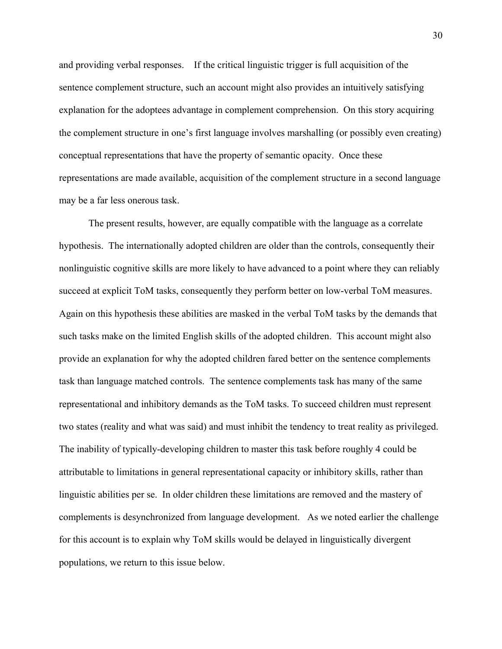and providing verbal responses. If the critical linguistic trigger is full acquisition of the sentence complement structure, such an account might also provides an intuitively satisfying explanation for the adoptees advantage in complement comprehension. On this story acquiring the complement structure in one's first language involves marshalling (or possibly even creating) conceptual representations that have the property of semantic opacity. Once these representations are made available, acquisition of the complement structure in a second language may be a far less onerous task.

The present results, however, are equally compatible with the language as a correlate hypothesis. The internationally adopted children are older than the controls, consequently their nonlinguistic cognitive skills are more likely to have advanced to a point where they can reliably succeed at explicit ToM tasks, consequently they perform better on low-verbal ToM measures. Again on this hypothesis these abilities are masked in the verbal ToM tasks by the demands that such tasks make on the limited English skills of the adopted children. This account might also provide an explanation for why the adopted children fared better on the sentence complements task than language matched controls. The sentence complements task has many of the same representational and inhibitory demands as the ToM tasks. To succeed children must represent two states (reality and what was said) and must inhibit the tendency to treat reality as privileged. The inability of typically-developing children to master this task before roughly 4 could be attributable to limitations in general representational capacity or inhibitory skills, rather than linguistic abilities per se. In older children these limitations are removed and the mastery of complements is desynchronized from language development. As we noted earlier the challenge for this account is to explain why ToM skills would be delayed in linguistically divergent populations, we return to this issue below.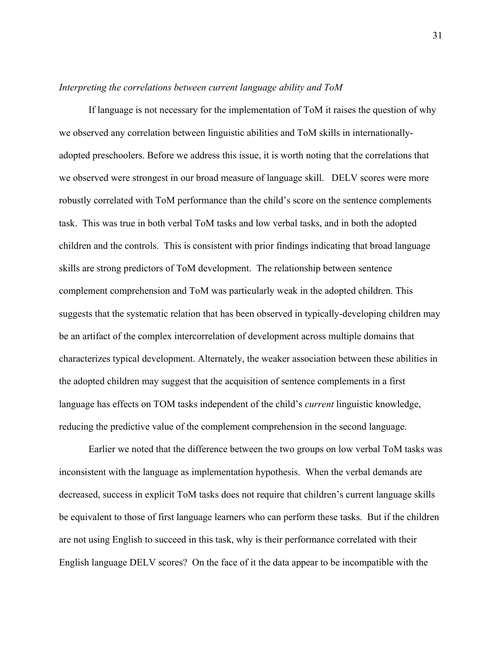#### *Interpreting the correlations between current language ability and ToM*

If language is not necessary for the implementation of ToM it raises the question of why we observed any correlation between linguistic abilities and ToM skills in internationallyadopted preschoolers. Before we address this issue, it is worth noting that the correlations that we observed were strongest in our broad measure of language skill. DELV scores were more robustly correlated with ToM performance than the child's score on the sentence complements task. This was true in both verbal ToM tasks and low verbal tasks, and in both the adopted children and the controls. This is consistent with prior findings indicating that broad language skills are strong predictors of ToM development. The relationship between sentence complement comprehension and ToM was particularly weak in the adopted children. This suggests that the systematic relation that has been observed in typically-developing children may be an artifact of the complex intercorrelation of development across multiple domains that characterizes typical development. Alternately, the weaker association between these abilities in the adopted children may suggest that the acquisition of sentence complements in a first language has effects on TOM tasks independent of the child's *current* linguistic knowledge, reducing the predictive value of the complement comprehension in the second language.

Earlier we noted that the difference between the two groups on low verbal ToM tasks was inconsistent with the language as implementation hypothesis. When the verbal demands are decreased, success in explicit ToM tasks does not require that children's current language skills be equivalent to those of first language learners who can perform these tasks. But if the children are not using English to succeed in this task, why is their performance correlated with their English language DELV scores? On the face of it the data appear to be incompatible with the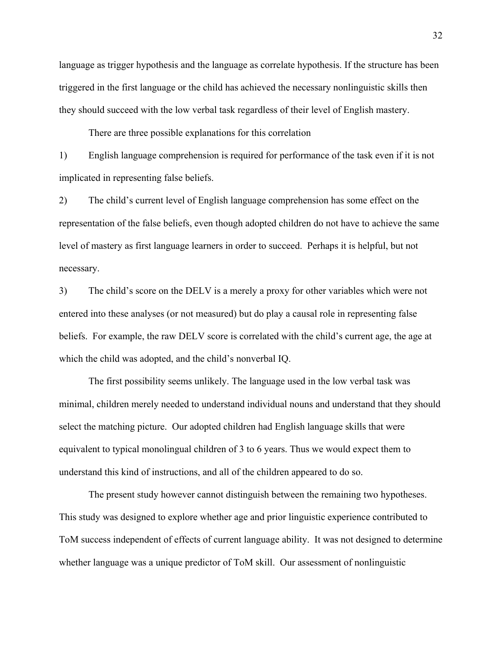language as trigger hypothesis and the language as correlate hypothesis. If the structure has been triggered in the first language or the child has achieved the necessary nonlinguistic skills then they should succeed with the low verbal task regardless of their level of English mastery.

There are three possible explanations for this correlation

1) English language comprehension is required for performance of the task even if it is not implicated in representing false beliefs.

2) The child's current level of English language comprehension has some effect on the representation of the false beliefs, even though adopted children do not have to achieve the same level of mastery as first language learners in order to succeed. Perhaps it is helpful, but not necessary.

3) The child's score on the DELV is a merely a proxy for other variables which were not entered into these analyses (or not measured) but do play a causal role in representing false beliefs. For example, the raw DELV score is correlated with the child's current age, the age at which the child was adopted, and the child's nonverbal IQ.

The first possibility seems unlikely. The language used in the low verbal task was minimal, children merely needed to understand individual nouns and understand that they should select the matching picture. Our adopted children had English language skills that were equivalent to typical monolingual children of 3 to 6 years. Thus we would expect them to understand this kind of instructions, and all of the children appeared to do so.

The present study however cannot distinguish between the remaining two hypotheses. This study was designed to explore whether age and prior linguistic experience contributed to ToM success independent of effects of current language ability. It was not designed to determine whether language was a unique predictor of ToM skill. Our assessment of nonlinguistic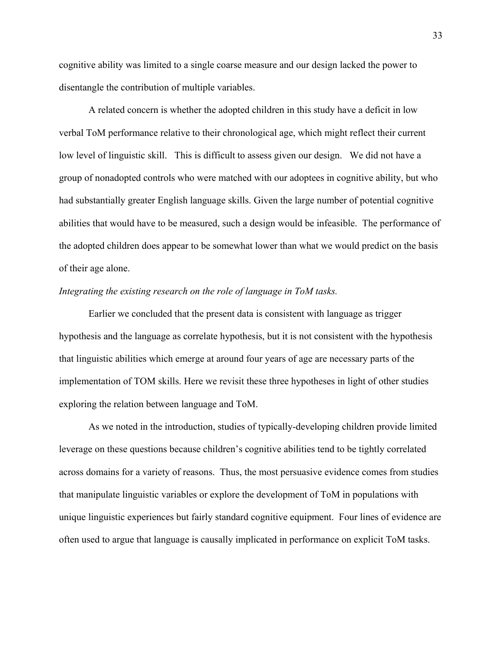cognitive ability was limited to a single coarse measure and our design lacked the power to disentangle the contribution of multiple variables.

A related concern is whether the adopted children in this study have a deficit in low verbal ToM performance relative to their chronological age, which might reflect their current low level of linguistic skill. This is difficult to assess given our design. We did not have a group of nonadopted controls who were matched with our adoptees in cognitive ability, but who had substantially greater English language skills. Given the large number of potential cognitive abilities that would have to be measured, such a design would be infeasible. The performance of the adopted children does appear to be somewhat lower than what we would predict on the basis of their age alone.

# *Integrating the existing research on the role of language in ToM tasks.*

Earlier we concluded that the present data is consistent with language as trigger hypothesis and the language as correlate hypothesis, but it is not consistent with the hypothesis that linguistic abilities which emerge at around four years of age are necessary parts of the implementation of TOM skills. Here we revisit these three hypotheses in light of other studies exploring the relation between language and ToM.

As we noted in the introduction, studies of typically-developing children provide limited leverage on these questions because children's cognitive abilities tend to be tightly correlated across domains for a variety of reasons. Thus, the most persuasive evidence comes from studies that manipulate linguistic variables or explore the development of ToM in populations with unique linguistic experiences but fairly standard cognitive equipment. Four lines of evidence are often used to argue that language is causally implicated in performance on explicit ToM tasks.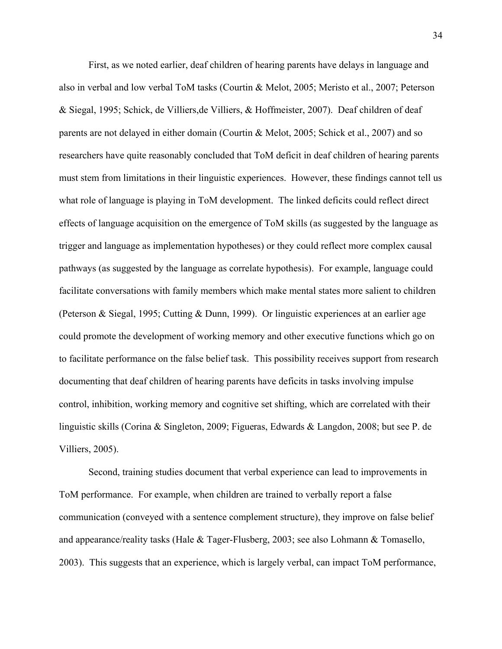First, as we noted earlier, deaf children of hearing parents have delays in language and also in verbal and low verbal ToM tasks (Courtin & Melot, 2005; Meristo et al., 2007; Peterson & Siegal, 1995; Schick, de Villiers,de Villiers, & Hoffmeister, 2007). Deaf children of deaf parents are not delayed in either domain (Courtin & Melot, 2005; Schick et al., 2007) and so researchers have quite reasonably concluded that ToM deficit in deaf children of hearing parents must stem from limitations in their linguistic experiences. However, these findings cannot tell us what role of language is playing in ToM development. The linked deficits could reflect direct effects of language acquisition on the emergence of ToM skills (as suggested by the language as trigger and language as implementation hypotheses) or they could reflect more complex causal pathways (as suggested by the language as correlate hypothesis). For example, language could facilitate conversations with family members which make mental states more salient to children (Peterson & Siegal, 1995; Cutting & Dunn, 1999). Or linguistic experiences at an earlier age could promote the development of working memory and other executive functions which go on to facilitate performance on the false belief task. This possibility receives support from research documenting that deaf children of hearing parents have deficits in tasks involving impulse control, inhibition, working memory and cognitive set shifting, which are correlated with their linguistic skills (Corina & Singleton, 2009; Figueras, Edwards & Langdon, 2008; but see P. de Villiers, 2005).

Second, training studies document that verbal experience can lead to improvements in ToM performance. For example, when children are trained to verbally report a false communication (conveyed with a sentence complement structure), they improve on false belief and appearance/reality tasks (Hale & Tager-Flusberg, 2003; see also Lohmann & Tomasello, 2003). This suggests that an experience, which is largely verbal, can impact ToM performance,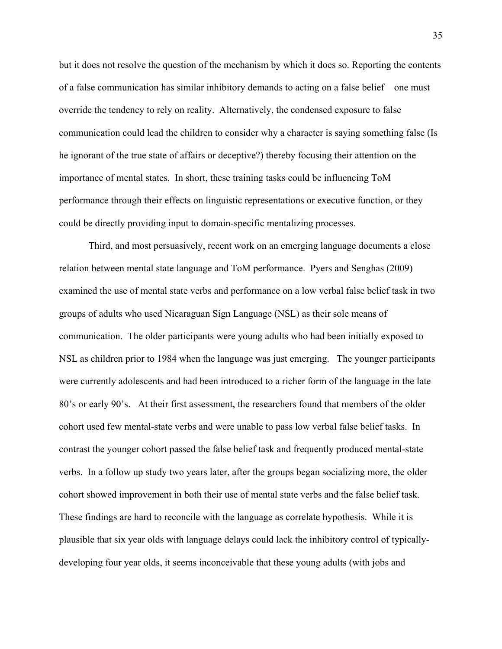but it does not resolve the question of the mechanism by which it does so. Reporting the contents of a false communication has similar inhibitory demands to acting on a false belief—one must override the tendency to rely on reality. Alternatively, the condensed exposure to false communication could lead the children to consider why a character is saying something false (Is he ignorant of the true state of affairs or deceptive?) thereby focusing their attention on the importance of mental states. In short, these training tasks could be influencing ToM performance through their effects on linguistic representations or executive function, or they could be directly providing input to domain-specific mentalizing processes.

Third, and most persuasively, recent work on an emerging language documents a close relation between mental state language and ToM performance. Pyers and Senghas (2009) examined the use of mental state verbs and performance on a low verbal false belief task in two groups of adults who used Nicaraguan Sign Language (NSL) as their sole means of communication. The older participants were young adults who had been initially exposed to NSL as children prior to 1984 when the language was just emerging. The younger participants were currently adolescents and had been introduced to a richer form of the language in the late 80's or early 90's. At their first assessment, the researchers found that members of the older cohort used few mental-state verbs and were unable to pass low verbal false belief tasks. In contrast the younger cohort passed the false belief task and frequently produced mental-state verbs. In a follow up study two years later, after the groups began socializing more, the older cohort showed improvement in both their use of mental state verbs and the false belief task. These findings are hard to reconcile with the language as correlate hypothesis. While it is plausible that six year olds with language delays could lack the inhibitory control of typicallydeveloping four year olds, it seems inconceivable that these young adults (with jobs and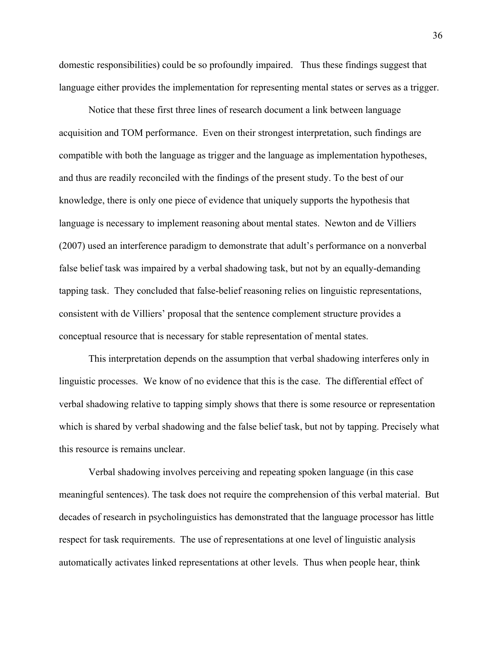domestic responsibilities) could be so profoundly impaired. Thus these findings suggest that language either provides the implementation for representing mental states or serves as a trigger.

Notice that these first three lines of research document a link between language acquisition and TOM performance. Even on their strongest interpretation, such findings are compatible with both the language as trigger and the language as implementation hypotheses, and thus are readily reconciled with the findings of the present study. To the best of our knowledge, there is only one piece of evidence that uniquely supports the hypothesis that language is necessary to implement reasoning about mental states. Newton and de Villiers (2007) used an interference paradigm to demonstrate that adult's performance on a nonverbal false belief task was impaired by a verbal shadowing task, but not by an equally-demanding tapping task. They concluded that false-belief reasoning relies on linguistic representations, consistent with de Villiers' proposal that the sentence complement structure provides a conceptual resource that is necessary for stable representation of mental states.

This interpretation depends on the assumption that verbal shadowing interferes only in linguistic processes. We know of no evidence that this is the case. The differential effect of verbal shadowing relative to tapping simply shows that there is some resource or representation which is shared by verbal shadowing and the false belief task, but not by tapping. Precisely what this resource is remains unclear.

Verbal shadowing involves perceiving and repeating spoken language (in this case meaningful sentences). The task does not require the comprehension of this verbal material. But decades of research in psycholinguistics has demonstrated that the language processor has little respect for task requirements. The use of representations at one level of linguistic analysis automatically activates linked representations at other levels. Thus when people hear, think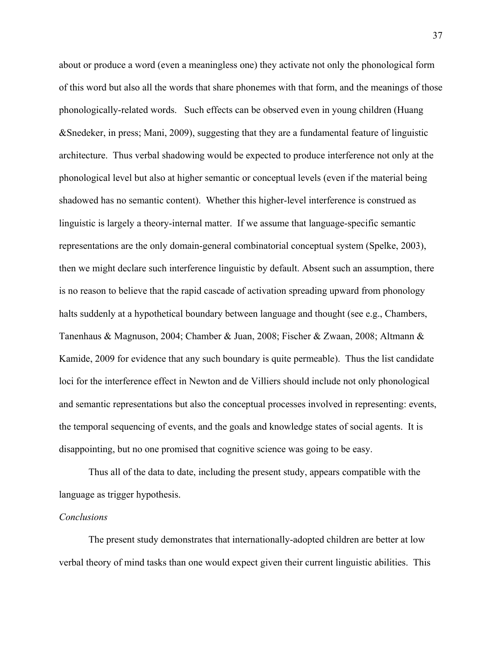about or produce a word (even a meaningless one) they activate not only the phonological form of this word but also all the words that share phonemes with that form, and the meanings of those phonologically-related words. Such effects can be observed even in young children (Huang &Snedeker, in press; Mani, 2009), suggesting that they are a fundamental feature of linguistic architecture. Thus verbal shadowing would be expected to produce interference not only at the phonological level but also at higher semantic or conceptual levels (even if the material being shadowed has no semantic content). Whether this higher-level interference is construed as linguistic is largely a theory-internal matter. If we assume that language-specific semantic representations are the only domain-general combinatorial conceptual system (Spelke, 2003), then we might declare such interference linguistic by default. Absent such an assumption, there is no reason to believe that the rapid cascade of activation spreading upward from phonology halts suddenly at a hypothetical boundary between language and thought (see e.g., Chambers, Tanenhaus & Magnuson, 2004; Chamber & Juan, 2008; Fischer & Zwaan, 2008; Altmann & Kamide, 2009 for evidence that any such boundary is quite permeable). Thus the list candidate loci for the interference effect in Newton and de Villiers should include not only phonological and semantic representations but also the conceptual processes involved in representing: events, the temporal sequencing of events, and the goals and knowledge states of social agents. It is disappointing, but no one promised that cognitive science was going to be easy.

Thus all of the data to date, including the present study, appears compatible with the language as trigger hypothesis.

# *Conclusions*

 The present study demonstrates that internationally-adopted children are better at low verbal theory of mind tasks than one would expect given their current linguistic abilities. This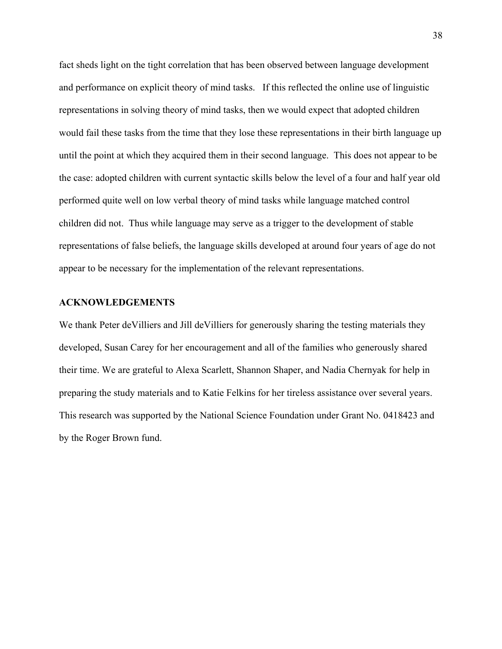fact sheds light on the tight correlation that has been observed between language development and performance on explicit theory of mind tasks. If this reflected the online use of linguistic representations in solving theory of mind tasks, then we would expect that adopted children would fail these tasks from the time that they lose these representations in their birth language up until the point at which they acquired them in their second language. This does not appear to be the case: adopted children with current syntactic skills below the level of a four and half year old performed quite well on low verbal theory of mind tasks while language matched control children did not. Thus while language may serve as a trigger to the development of stable representations of false beliefs, the language skills developed at around four years of age do not appear to be necessary for the implementation of the relevant representations.

#### **ACKNOWLEDGEMENTS**

We thank Peter deVilliers and Jill deVilliers for generously sharing the testing materials they developed, Susan Carey for her encouragement and all of the families who generously shared their time. We are grateful to Alexa Scarlett, Shannon Shaper, and Nadia Chernyak for help in preparing the study materials and to Katie Felkins for her tireless assistance over several years. This research was supported by the National Science Foundation under Grant No. 0418423 and by the Roger Brown fund.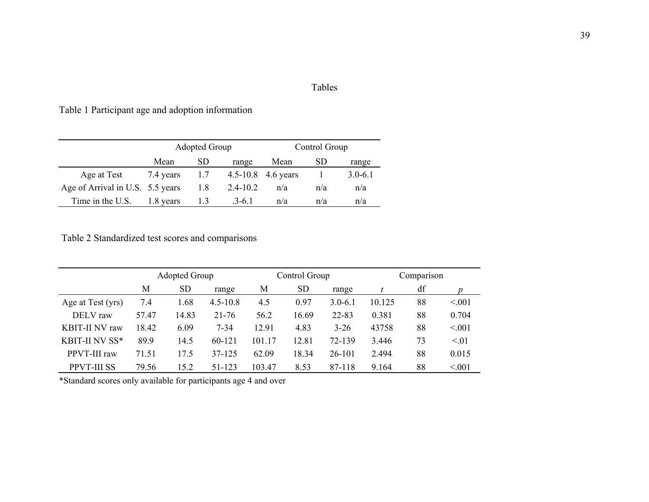# Tables

Table 1 Participant age and adoption information

|                                  |           | <b>Adopted Group</b> |              |                        | Control Group |             |
|----------------------------------|-----------|----------------------|--------------|------------------------|---------------|-------------|
|                                  | Mean      | SD.                  | range        | Mean                   | SD.           | range       |
| Age at Test                      | 7.4 years | 1.7                  |              | $4.5 - 10.8$ 4.6 years |               | $3.0 - 6.1$ |
| Age of Arrival in U.S. 5.5 years |           | 1.8                  | $2.4 - 10.2$ | n/a                    | n/a           | n/a         |
| Time in the U.S.                 | 1.8 years | 1.3                  | $.3-6.1$     | n/a                    | n/a           | n/a         |

Table 2 Standardized test scores and comparisons

|                       | <b>Adopted Group</b> |           |              | Control Group |           |             | Comparison |    |        |
|-----------------------|----------------------|-----------|--------------|---------------|-----------|-------------|------------|----|--------|
|                       | M                    | <b>SD</b> | range        | М             | <b>SD</b> | range       |            | df |        |
| Age at Test (yrs)     | 7.4                  | 1.68      | $4.5 - 10.8$ | 4.5           | 0.97      | $3.0 - 6.1$ | 10.125     | 88 | < 0.01 |
| DELV raw              | 57.47                | 14.83     | $21 - 76$    | 56.2          | 16.69     | 22-83       | 0.381      | 88 | 0.704  |
| <b>KBIT-II NV raw</b> | 18.42                | 6.09      | $7 - 34$     | 12.91         | 4.83      | $3 - 26$    | 43758      | 88 | < 0.01 |
| KBIT-II NV SS*        | 89.9                 | 14.5      | 60-121       | 101.17        | 12.81     | 72-139      | 3.446      | 73 | < 01   |
| PPVT-III raw          | 71.51                | 17.5      | $37 - 125$   | 62.09         | 18.34     | $26 - 101$  | 2.494      | 88 | 0.015  |
| <b>PPVT-III SS</b>    | 79.56                | 15.2      | 51-123       | 103.47        | 8.53      | 87-118      | 9.164      | 88 | < 001  |

\*Standard scores only available for participants age 4 and over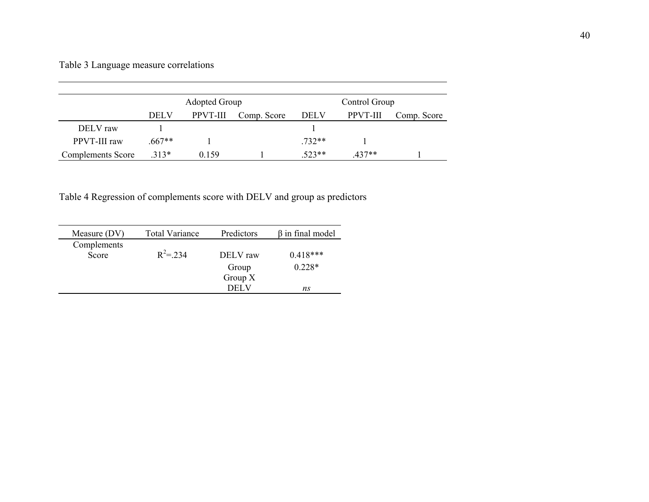# Table 3 Language measure correlations

|                   | <b>Adopted Group</b> |                 |             |             | Control Group |             |
|-------------------|----------------------|-----------------|-------------|-------------|---------------|-------------|
|                   | <b>DELV</b>          | <b>PPVT-III</b> | Comp. Score | <b>DELV</b> | PPVT-III      | Comp. Score |
| DELV raw          |                      |                 |             |             |               |             |
| PPVT-III raw      | $.667**$             |                 |             | 732**       |               |             |
| Complements Score | $313*$               | 0.159           |             | $523**$     | $437**$       |             |

Table 4 Regression of complements score with DELV and group as predictors

| Measure (DV) | <b>Total Variance</b> | Predictors | $\beta$ in final model |
|--------------|-----------------------|------------|------------------------|
| Complements  |                       |            |                        |
| Score        | $R^2$ = 234           | DELV raw   | $0.418***$             |
|              |                       | Group      | $0.228*$               |
|              |                       | Group $X$  |                        |
|              |                       | DEL V      | ns                     |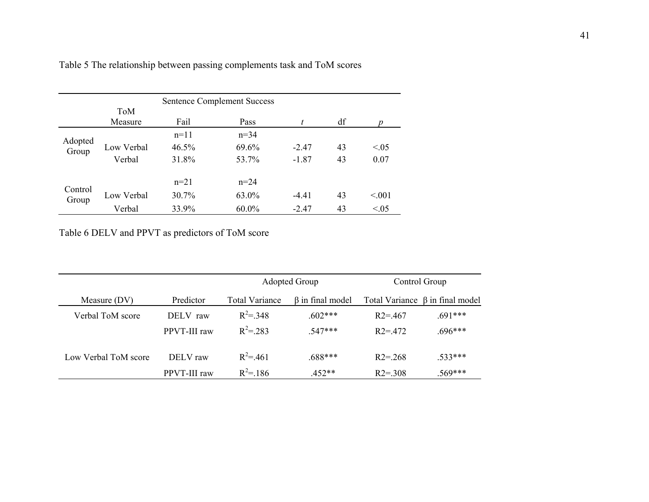| <b>Sentence Complement Success</b> |            |        |          |         |    |        |
|------------------------------------|------------|--------|----------|---------|----|--------|
|                                    | ToM        |        |          |         |    |        |
|                                    | Measure    | Fail   | Pass     | t.      | df |        |
|                                    |            | $n=11$ | $n=34$   |         |    |        |
| Adopted<br>Group                   | Low Verbal | 46.5%  | 69.6%    | $-2.47$ | 43 | < 0.05 |
|                                    | Verbal     | 31.8%  | 53.7%    | $-1.87$ | 43 | 0.07   |
|                                    |            | $n=21$ | $n = 24$ |         |    |        |
| Control<br>Group                   | Low Verbal | 30.7%  | 63.0%    | $-4.41$ | 43 | < 0.01 |
|                                    | Verbal     | 33.9%  | $60.0\%$ | $-2.47$ | 43 | < 0.05 |

Table 5 The relationship between passing complements task and ToM scores

Table 6 DELV and PPVT as predictors of ToM score

|                      |              | <b>Adopted Group</b>  |                        | Control Group |                                       |  |
|----------------------|--------------|-----------------------|------------------------|---------------|---------------------------------------|--|
| Measure (DV)         | Predictor    | <b>Total Variance</b> | $\beta$ in final model |               | Total Variance $\beta$ in final model |  |
| Verbal ToM score     | DELV raw     | $R^2$ = 348           | $.602***$              | $R2 = 467$    | $.691***$                             |  |
|                      | PPVT-III raw | $R^2$ = 283           | 547***                 | $R2 = 472$    | $.696***$                             |  |
| Low Verbal ToM score | DELV raw     | $R^2$ = 461           | $.688***$              | $R2 = 268$    | $.533***$                             |  |
|                      | PPVT-III raw | $R^2 = 186$           | $.452**$               | $R2 = 308$    | $.569***$                             |  |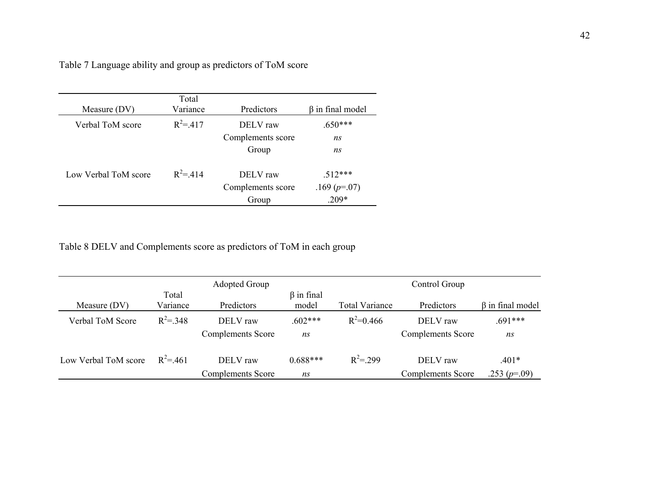|  | Table 7 Language ability and group as predictors of ToM score |
|--|---------------------------------------------------------------|
|  |                                                               |

| Measure (DV)         | Total<br>Variance | Predictors        | $\beta$ in final model |
|----------------------|-------------------|-------------------|------------------------|
| Verbal ToM score     | $R^2 = 417$       | DELV raw          | $.650***$              |
|                      |                   | Complements score | ns                     |
|                      |                   | Group             | ns                     |
| Low Verbal ToM score | $R^2 = 414$       | DELV raw          | $512***$               |
|                      |                   | Complements score | .169 $(p=07)$          |
|                      |                   | Group             | $.209*$                |

Table 8 DELV and Complements score as predictors of ToM in each group

|                      |                   | <b>Adopted Group</b>                 |                           |                       | Control Group                        |                           |
|----------------------|-------------------|--------------------------------------|---------------------------|-----------------------|--------------------------------------|---------------------------|
| Measure (DV)         | Total<br>Variance | Predictors                           | $\beta$ in final<br>model | <b>Total Variance</b> | Predictors                           | $\beta$ in final model    |
| Verbal ToM Score     | $R^2 = 348$       | DELV raw<br><b>Complements</b> Score | $.602***$<br>ns           | $R^2=0.466$           | DELV raw<br><b>Complements Score</b> | $.691***$<br>ns           |
| Low Verbal ToM score | $R^2 = 461$       | DELV raw<br><b>Complements Score</b> | $0.688***$<br>ns          | $R^2 = 299$           | DELV raw<br><b>Complements Score</b> | $.401*$<br>.253 $(p=.09)$ |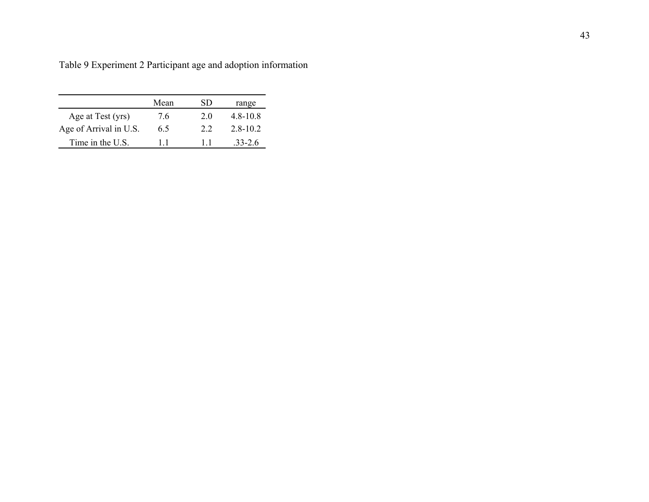|                        | Mean | SD. | range        |
|------------------------|------|-----|--------------|
| Age at Test (yrs)      | 7.6  | 20  | $4.8 - 10.8$ |
| Age of Arrival in U.S. | 65   | 22  | $28-102$     |
| Time in the U.S.       | 11   | 11  | 33-26        |

Table 9 Experiment 2 Participant age and adoption information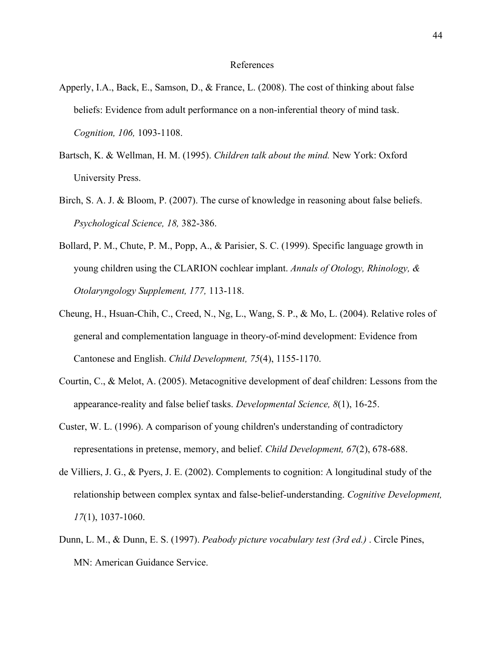#### References

- Apperly, I.A., Back, E., Samson, D., & France, L. (2008). The cost of thinking about false beliefs: Evidence from adult performance on a non-inferential theory of mind task. *Cognition, 106,* 1093-1108.
- Bartsch, K. & Wellman, H. M. (1995). *Children talk about the mind.* New York: Oxford University Press.
- Birch, S. A. J. & Bloom, P. (2007). The curse of knowledge in reasoning about false beliefs. *Psychological Science, 18,* 382-386.
- Bollard, P. M., Chute, P. M., Popp, A., & Parisier, S. C. (1999). Specific language growth in young children using the CLARION cochlear implant. *Annals of Otology, Rhinology, & Otolaryngology Supplement, 177,* 113-118.
- Cheung, H., Hsuan-Chih, C., Creed, N., Ng, L., Wang, S. P., & Mo, L. (2004). Relative roles of general and complementation language in theory-of-mind development: Evidence from Cantonese and English. *Child Development, 75*(4), 1155-1170.
- Courtin, C., & Melot, A. (2005). Metacognitive development of deaf children: Lessons from the appearance-reality and false belief tasks. *Developmental Science, 8*(1), 16-25.
- Custer, W. L. (1996). A comparison of young children's understanding of contradictory representations in pretense, memory, and belief. *Child Development, 67*(2), 678-688.
- de Villiers, J. G., & Pyers, J. E. (2002). Complements to cognition: A longitudinal study of the relationship between complex syntax and false-belief-understanding. *Cognitive Development, 17*(1), 1037-1060.
- Dunn, L. M., & Dunn, E. S. (1997). *Peabody picture vocabulary test (3rd ed.)* . Circle Pines, MN: American Guidance Service.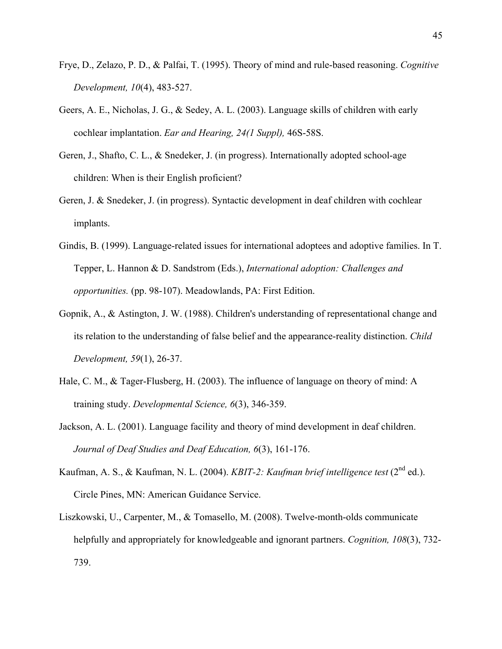- Frye, D., Zelazo, P. D., & Palfai, T. (1995). Theory of mind and rule-based reasoning. *Cognitive Development, 10*(4), 483-527.
- Geers, A. E., Nicholas, J. G., & Sedey, A. L. (2003). Language skills of children with early cochlear implantation. *Ear and Hearing, 24(1 Suppl),* 46S-58S.
- Geren, J., Shafto, C. L., & Snedeker, J. (in progress). Internationally adopted school-age children: When is their English proficient?
- Geren, J. & Snedeker, J. (in progress). Syntactic development in deaf children with cochlear implants.
- Gindis, B. (1999). Language-related issues for international adoptees and adoptive families. In T. Tepper, L. Hannon & D. Sandstrom (Eds.), *International adoption: Challenges and opportunities.* (pp. 98-107). Meadowlands, PA: First Edition.
- Gopnik, A., & Astington, J. W. (1988). Children's understanding of representational change and its relation to the understanding of false belief and the appearance-reality distinction. *Child Development, 59*(1), 26-37.
- Hale, C. M., & Tager-Flusberg, H. (2003). The influence of language on theory of mind: A training study. *Developmental Science, 6*(3), 346-359.
- Jackson, A. L. (2001). Language facility and theory of mind development in deaf children. *Journal of Deaf Studies and Deaf Education, 6*(3), 161-176.
- Kaufman, A. S., & Kaufman, N. L. (2004). *KBIT-2: Kaufman brief intelligence test* (2<sup>nd</sup> ed.). Circle Pines, MN: American Guidance Service.
- Liszkowski, U., Carpenter, M., & Tomasello, M. (2008). Twelve-month-olds communicate helpfully and appropriately for knowledgeable and ignorant partners. *Cognition, 108*(3), 732- 739.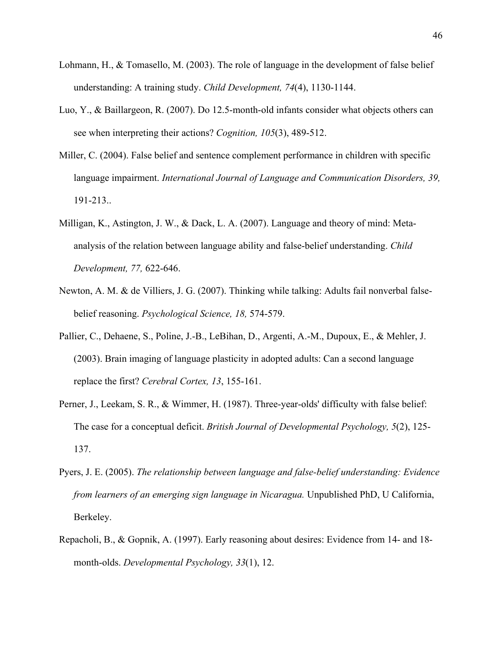- Lohmann, H., & Tomasello, M. (2003). The role of language in the development of false belief understanding: A training study. *Child Development, 74*(4), 1130-1144.
- Luo, Y., & Baillargeon, R. (2007). Do 12.5-month-old infants consider what objects others can see when interpreting their actions? *Cognition, 105*(3), 489-512.
- Miller, C. (2004). False belief and sentence complement performance in children with specific language impairment. *International Journal of Language and Communication Disorders, 39,*  191-213..
- Milligan, K., Astington, J. W., & Dack, L. A. (2007). Language and theory of mind: Metaanalysis of the relation between language ability and false-belief understanding. *Child Development, 77,* 622-646.
- Newton, A. M. & de Villiers, J. G. (2007). Thinking while talking: Adults fail nonverbal falsebelief reasoning. *Psychological Science, 18,* 574-579.
- Pallier, C., Dehaene, S., Poline, J.-B., LeBihan, D., Argenti, A.-M., Dupoux, E., & Mehler, J. (2003). Brain imaging of language plasticity in adopted adults: Can a second language replace the first? *Cerebral Cortex, 13*, 155-161.
- Perner, J., Leekam, S. R., & Wimmer, H. (1987). Three-year-olds' difficulty with false belief: The case for a conceptual deficit. *British Journal of Developmental Psychology, 5*(2), 125- 137.
- Pyers, J. E. (2005). *The relationship between language and false-belief understanding: Evidence from learners of an emerging sign language in Nicaragua.* Unpublished PhD, U California, Berkeley.
- Repacholi, B., & Gopnik, A. (1997). Early reasoning about desires: Evidence from 14- and 18 month-olds. *Developmental Psychology, 33*(1), 12.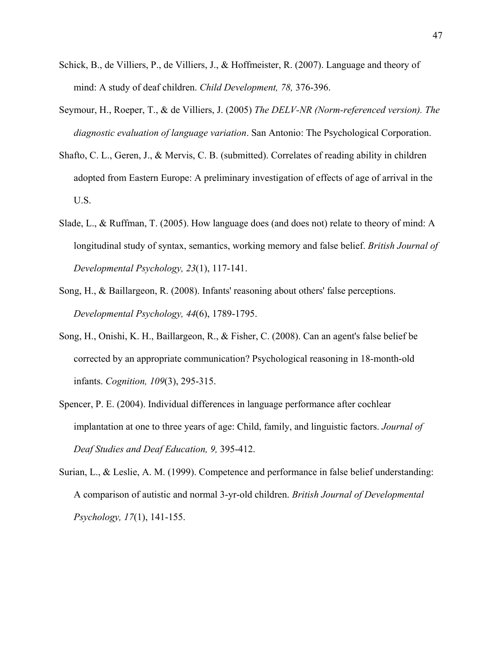- Schick, B., de Villiers, P., de Villiers, J., & Hoffmeister, R. (2007). Language and theory of mind: A study of deaf children. *Child Development, 78,* 376-396.
- Seymour, H., Roeper, T., & de Villiers, J. (2005) *The DELV-NR (Norm-referenced version). The diagnostic evaluation of language variation*. San Antonio: The Psychological Corporation.
- Shafto, C. L., Geren, J., & Mervis, C. B. (submitted). Correlates of reading ability in children adopted from Eastern Europe: A preliminary investigation of effects of age of arrival in the U.S.
- Slade, L., & Ruffman, T. (2005). How language does (and does not) relate to theory of mind: A longitudinal study of syntax, semantics, working memory and false belief. *British Journal of Developmental Psychology, 23*(1), 117-141.
- Song, H., & Baillargeon, R. (2008). Infants' reasoning about others' false perceptions. *Developmental Psychology, 44*(6), 1789-1795.
- Song, H., Onishi, K. H., Baillargeon, R., & Fisher, C. (2008). Can an agent's false belief be corrected by an appropriate communication? Psychological reasoning in 18-month-old infants. *Cognition, 109*(3), 295-315.
- Spencer, P. E. (2004). Individual differences in language performance after cochlear implantation at one to three years of age: Child, family, and linguistic factors. *Journal of Deaf Studies and Deaf Education, 9,* 395-412.
- Surian, L., & Leslie, A. M. (1999). Competence and performance in false belief understanding: A comparison of autistic and normal 3-yr-old children. *British Journal of Developmental Psychology, 17*(1), 141-155.